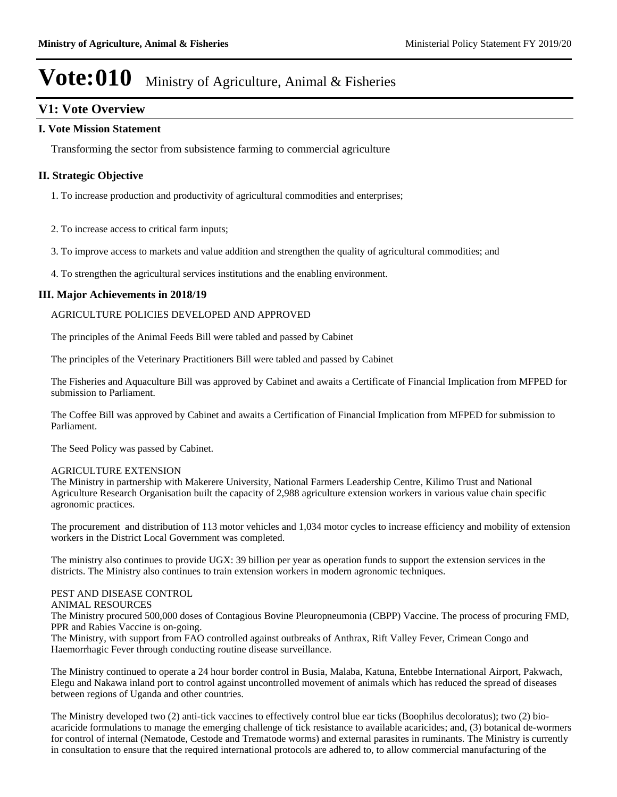### **V1: Vote Overview**

### **I. Vote Mission Statement**

Transforming the sector from subsistence farming to commercial agriculture

### **II. Strategic Objective**

- 1. To increase production and productivity of agricultural commodities and enterprises;
- 2. To increase access to critical farm inputs;
- 3. To improve access to markets and value addition and strengthen the quality of agricultural commodities; and
- 4. To strengthen the agricultural services institutions and the enabling environment.

### **III. Major Achievements in 2018/19**

### AGRICULTURE POLICIES DEVELOPED AND APPROVED

The principles of the Animal Feeds Bill were tabled and passed by Cabinet

The principles of the Veterinary Practitioners Bill were tabled and passed by Cabinet

The Fisheries and Aquaculture Bill was approved by Cabinet and awaits a Certificate of Financial Implication from MFPED for submission to Parliament.

The Coffee Bill was approved by Cabinet and awaits a Certification of Financial Implication from MFPED for submission to Parliament.

The Seed Policy was passed by Cabinet.

#### AGRICULTURE EXTENSION

The Ministry in partnership with Makerere University, National Farmers Leadership Centre, Kilimo Trust and National Agriculture Research Organisation built the capacity of 2,988 agriculture extension workers in various value chain specific agronomic practices.

The procurement and distribution of 113 motor vehicles and 1,034 motor cycles to increase efficiency and mobility of extension workers in the District Local Government was completed.

The ministry also continues to provide UGX: 39 billion per year as operation funds to support the extension services in the districts. The Ministry also continues to train extension workers in modern agronomic techniques.

### PEST AND DISEASE CONTROL

### ANIMAL RESOURCES

The Ministry procured 500,000 doses of Contagious Bovine Pleuropneumonia (CBPP) Vaccine. The process of procuring FMD, PPR and Rabies Vaccine is on-going.

The Ministry, with support from FAO controlled against outbreaks of Anthrax, Rift Valley Fever, Crimean Congo and Haemorrhagic Fever through conducting routine disease surveillance.

The Ministry continued to operate a 24 hour border control in Busia, Malaba, Katuna, Entebbe International Airport, Pakwach, Elegu and Nakawa inland port to control against uncontrolled movement of animals which has reduced the spread of diseases between regions of Uganda and other countries.

The Ministry developed two (2) anti-tick vaccines to effectively control blue ear ticks (Boophilus decoloratus); two (2) bioacaricide formulations to manage the emerging challenge of tick resistance to available acaricides; and, (3) botanical de-wormers for control of internal (Nematode, Cestode and Trematode worms) and external parasites in ruminants. The Ministry is currently in consultation to ensure that the required international protocols are adhered to, to allow commercial manufacturing of the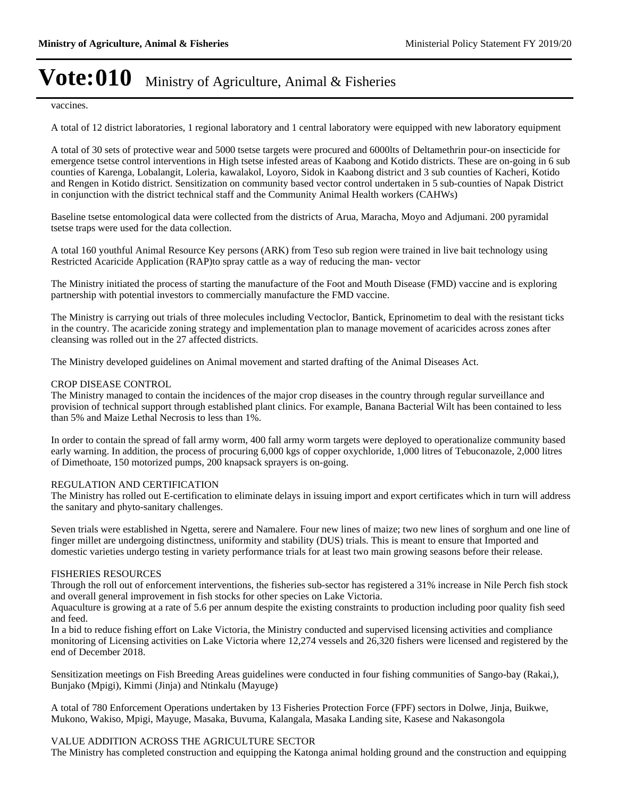vaccines.

A total of 12 district laboratories, 1 regional laboratory and 1 central laboratory were equipped with new laboratory equipment

A total of 30 sets of protective wear and 5000 tsetse targets were procured and 6000lts of Deltamethrin pour-on insecticide for emergence tsetse control interventions in High tsetse infested areas of Kaabong and Kotido districts. These are on-going in 6 sub counties of Karenga, Lobalangit, Loleria, kawalakol, Loyoro, Sidok in Kaabong district and 3 sub counties of Kacheri, Kotido and Rengen in Kotido district. Sensitization on community based vector control undertaken in 5 sub-counties of Napak District in conjunction with the district technical staff and the Community Animal Health workers (CAHWs)

Baseline tsetse entomological data were collected from the districts of Arua, Maracha, Moyo and Adjumani. 200 pyramidal tsetse traps were used for the data collection.

A total 160 youthful Animal Resource Key persons (ARK) from Teso sub region were trained in live bait technology using Restricted Acaricide Application (RAP)to spray cattle as a way of reducing the man- vector

The Ministry initiated the process of starting the manufacture of the Foot and Mouth Disease (FMD) vaccine and is exploring partnership with potential investors to commercially manufacture the FMD vaccine.

The Ministry is carrying out trials of three molecules including Vectoclor, Bantick, Eprinometim to deal with the resistant ticks in the country. The acaricide zoning strategy and implementation plan to manage movement of acaricides across zones after cleansing was rolled out in the 27 affected districts.

The Ministry developed guidelines on Animal movement and started drafting of the Animal Diseases Act.

#### CROP DISEASE CONTROL

The Ministry managed to contain the incidences of the major crop diseases in the country through regular surveillance and provision of technical support through established plant clinics. For example, Banana Bacterial Wilt has been contained to less than 5% and Maize Lethal Necrosis to less than 1%.

In order to contain the spread of fall army worm, 400 fall army worm targets were deployed to operationalize community based early warning. In addition, the process of procuring 6,000 kgs of copper oxychloride, 1,000 litres of Tebuconazole, 2,000 litres of Dimethoate, 150 motorized pumps, 200 knapsack sprayers is on-going.

### REGULATION AND CERTIFICATION

The Ministry has rolled out E-certification to eliminate delays in issuing import and export certificates which in turn will address the sanitary and phyto-sanitary challenges.

Seven trials were established in Ngetta, serere and Namalere. Four new lines of maize; two new lines of sorghum and one line of finger millet are undergoing distinctness, uniformity and stability (DUS) trials. This is meant to ensure that Imported and domestic varieties undergo testing in variety performance trials for at least two main growing seasons before their release.

#### FISHERIES RESOURCES

Through the roll out of enforcement interventions, the fisheries sub-sector has registered a 31% increase in Nile Perch fish stock and overall general improvement in fish stocks for other species on Lake Victoria.

Aquaculture is growing at a rate of 5.6 per annum despite the existing constraints to production including poor quality fish seed and feed.

In a bid to reduce fishing effort on Lake Victoria, the Ministry conducted and supervised licensing activities and compliance monitoring of Licensing activities on Lake Victoria where 12,274 vessels and 26,320 fishers were licensed and registered by the end of December 2018.

Sensitization meetings on Fish Breeding Areas guidelines were conducted in four fishing communities of Sango-bay (Rakai,), Bunjako (Mpigi), Kimmi (Jinja) and Ntinkalu (Mayuge)

A total of 780 Enforcement Operations undertaken by 13 Fisheries Protection Force (FPF) sectors in Dolwe, Jinja, Buikwe, Mukono, Wakiso, Mpigi, Mayuge, Masaka, Buvuma, Kalangala, Masaka Landing site, Kasese and Nakasongola

### VALUE ADDITION ACROSS THE AGRICULTURE SECTOR

The Ministry has completed construction and equipping the Katonga animal holding ground and the construction and equipping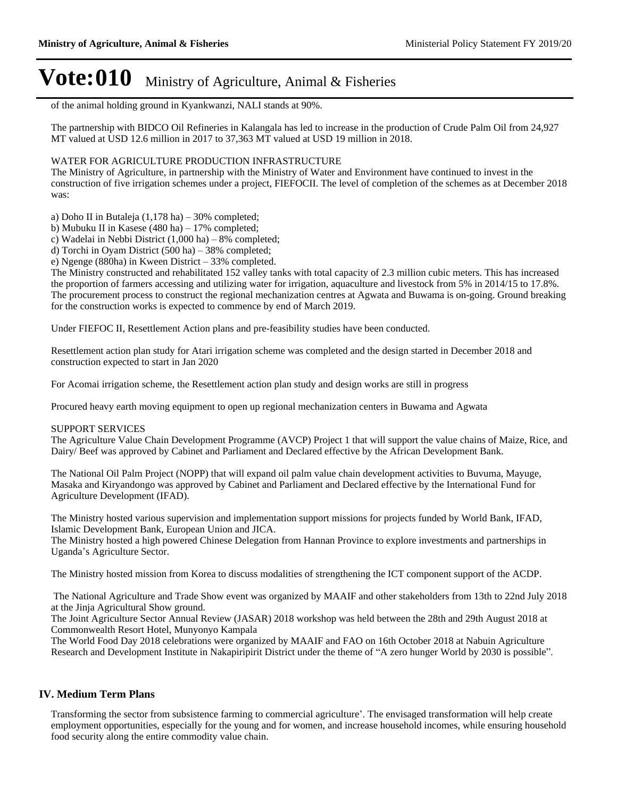of the animal holding ground in Kyankwanzi, NALI stands at 90%.

The partnership with BIDCO Oil Refineries in Kalangala has led to increase in the production of Crude Palm Oil from 24,927 MT valued at USD 12.6 million in 2017 to 37,363 MT valued at USD 19 million in 2018.

### WATER FOR AGRICULTURE PRODUCTION INFRASTRUCTURE

The Ministry of Agriculture, in partnership with the Ministry of Water and Environment have continued to invest in the construction of five irrigation schemes under a project, FIEFOCII. The level of completion of the schemes as at December 2018 was:

a) Doho II in Butaleja  $(1,178 \text{ ha}) - 30\%$  completed;

b) Mubuku II in Kasese (480 ha)  $-17\%$  completed;

c) Wadelai in Nebbi District  $(1,000 \text{ ha}) - 8\%$  completed;

d) Torchi in Oyam District  $(500 \text{ ha}) - 38\%$  completed;

e) Ngenge (880ha) in Kween District  $-33%$  completed.

The Ministry constructed and rehabilitated 152 valley tanks with total capacity of 2.3 million cubic meters. This has increased the proportion of farmers accessing and utilizing water for irrigation, aquaculture and livestock from 5% in 2014/15 to 17.8%. The procurement process to construct the regional mechanization centres at Agwata and Buwama is on-going. Ground breaking for the construction works is expected to commence by end of March 2019.

Under FIEFOC II, Resettlement Action plans and pre-feasibility studies have been conducted.

Resettlement action plan study for Atari irrigation scheme was completed and the design started in December 2018 and construction expected to start in Jan 2020

For Acomai irrigation scheme, the Resettlement action plan study and design works are still in progress

Procured heavy earth moving equipment to open up regional mechanization centers in Buwama and Agwata

### SUPPORT SERVICES

The Agriculture Value Chain Development Programme (AVCP) Project 1 that will support the value chains of Maize, Rice, and Dairy/ Beef was approved by Cabinet and Parliament and Declared effective by the African Development Bank.

The National Oil Palm Project (NOPP) that will expand oil palm value chain development activities to Buvuma, Mayuge, Masaka and Kiryandongo was approved by Cabinet and Parliament and Declared effective by the International Fund for Agriculture Development (IFAD).

The Ministry hosted various supervision and implementation support missions for projects funded by World Bank, IFAD, Islamic Development Bank, European Union and JICA.

The Ministry hosted a high powered Chinese Delegation from Hannan Province to explore investments and partnerships in Uganda's Agriculture Sector.

The Ministry hosted mission from Korea to discuss modalities of strengthening the ICT component support of the ACDP.

 The National Agriculture and Trade Show event was organized by MAAIF and other stakeholders from 13th to 22nd July 2018 at the Jinja Agricultural Show ground.

The Joint Agriculture Sector Annual Review (JASAR) 2018 workshop was held between the 28th and 29th August 2018 at Commonwealth Resort Hotel, Munyonyo Kampala

The World Food Day 2018 celebrations were organized by MAAIF and FAO on 16th October 2018 at Nabuin Agriculture Research and Development Institute in Nakapiripirit District under the theme of "A zero hunger World by 2030 is possible".

### **IV. Medium Term Plans**

Transforming the sector from subsistence farming to commercial agriculture'. The envisaged transformation will help create employment opportunities, especially for the young and for women, and increase household incomes, while ensuring household food security along the entire commodity value chain.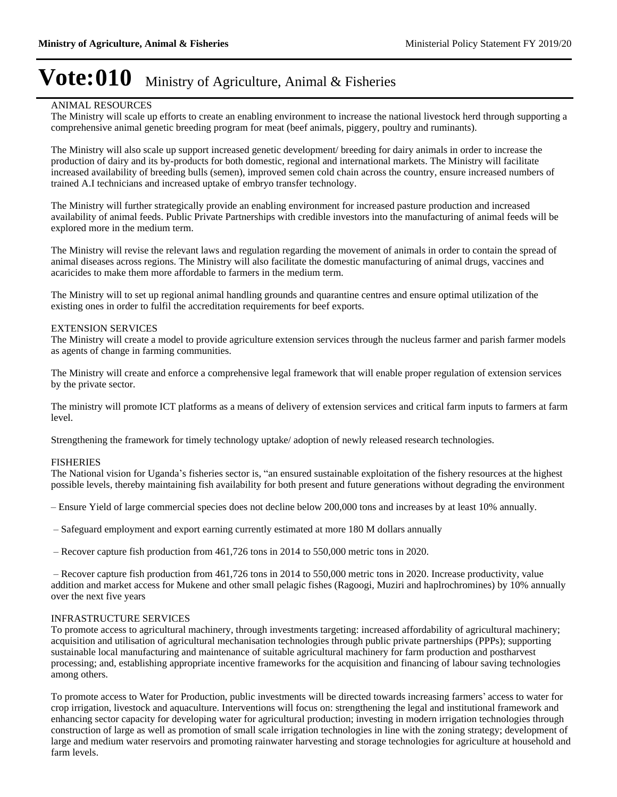### ANIMAL RESOURCES

The Ministry will scale up efforts to create an enabling environment to increase the national livestock herd through supporting a comprehensive animal genetic breeding program for meat (beef animals, piggery, poultry and ruminants).

The Ministry will also scale up support increased genetic development/ breeding for dairy animals in order to increase the production of dairy and its by-products for both domestic, regional and international markets. The Ministry will facilitate increased availability of breeding bulls (semen), improved semen cold chain across the country, ensure increased numbers of trained A.I technicians and increased uptake of embryo transfer technology.

The Ministry will further strategically provide an enabling environment for increased pasture production and increased availability of animal feeds. Public Private Partnerships with credible investors into the manufacturing of animal feeds will be explored more in the medium term.

The Ministry will revise the relevant laws and regulation regarding the movement of animals in order to contain the spread of animal diseases across regions. The Ministry will also facilitate the domestic manufacturing of animal drugs, vaccines and acaricides to make them more affordable to farmers in the medium term.

The Ministry will to set up regional animal handling grounds and quarantine centres and ensure optimal utilization of the existing ones in order to fulfil the accreditation requirements for beef exports.

#### EXTENSION SERVICES

The Ministry will create a model to provide agriculture extension services through the nucleus farmer and parish farmer models as agents of change in farming communities.

The Ministry will create and enforce a comprehensive legal framework that will enable proper regulation of extension services by the private sector.

The ministry will promote ICT platforms as a means of delivery of extension services and critical farm inputs to farmers at farm level.

Strengthening the framework for timely technology uptake/ adoption of newly released research technologies.

#### FISHERIES

The National vision for Uganda's fisheries sector is, "an ensured sustainable exploitation of the fishery resources at the highest possible levels, thereby maintaining fish availability for both present and future generations without degrading the environment

±Ensure Yield of large commercial species does not decline below 200,000 tons and increases by at least 10% annually.

- $-$  Safeguard employment and export earning currently estimated at more 180 M dollars annually
- $-$  Recover capture fish production from 461,726 tons in 2014 to 550,000 metric tons in 2020.

 $-$  Recover capture fish production from 461,726 tons in 2014 to 550,000 metric tons in 2020. Increase productivity, value addition and market access for Mukene and other small pelagic fishes (Ragoogi, Muziri and haplrochromines) by 10% annually over the next five years

#### INFRASTRUCTURE SERVICES

To promote access to agricultural machinery, through investments targeting: increased affordability of agricultural machinery; acquisition and utilisation of agricultural mechanisation technologies through public private partnerships (PPPs); supporting sustainable local manufacturing and maintenance of suitable agricultural machinery for farm production and postharvest processing; and, establishing appropriate incentive frameworks for the acquisition and financing of labour saving technologies among others.

To promote access to Water for Production, public investments will be directed towards increasing farmers' access to water for crop irrigation, livestock and aquaculture. Interventions will focus on: strengthening the legal and institutional framework and enhancing sector capacity for developing water for agricultural production; investing in modern irrigation technologies through construction of large as well as promotion of small scale irrigation technologies in line with the zoning strategy; development of large and medium water reservoirs and promoting rainwater harvesting and storage technologies for agriculture at household and farm levels.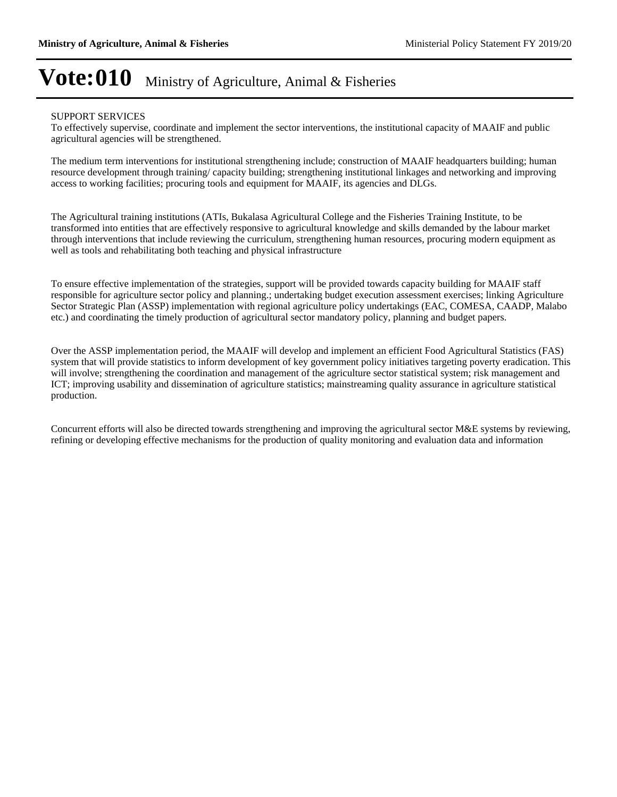#### SUPPORT SERVICES

To effectively supervise, coordinate and implement the sector interventions, the institutional capacity of MAAIF and public agricultural agencies will be strengthened.

The medium term interventions for institutional strengthening include; construction of MAAIF headquarters building; human resource development through training/ capacity building; strengthening institutional linkages and networking and improving access to working facilities; procuring tools and equipment for MAAIF, its agencies and DLGs.

The Agricultural training institutions (ATIs, Bukalasa Agricultural College and the Fisheries Training Institute, to be transformed into entities that are effectively responsive to agricultural knowledge and skills demanded by the labour market through interventions that include reviewing the curriculum, strengthening human resources, procuring modern equipment as well as tools and rehabilitating both teaching and physical infrastructure

To ensure effective implementation of the strategies, support will be provided towards capacity building for MAAIF staff responsible for agriculture sector policy and planning.; undertaking budget execution assessment exercises; linking Agriculture Sector Strategic Plan (ASSP) implementation with regional agriculture policy undertakings (EAC, COMESA, CAADP, Malabo etc.) and coordinating the timely production of agricultural sector mandatory policy, planning and budget papers.

Over the ASSP implementation period, the MAAIF will develop and implement an efficient Food Agricultural Statistics (FAS) system that will provide statistics to inform development of key government policy initiatives targeting poverty eradication. This will involve; strengthening the coordination and management of the agriculture sector statistical system; risk management and ICT; improving usability and dissemination of agriculture statistics; mainstreaming quality assurance in agriculture statistical production.

Concurrent efforts will also be directed towards strengthening and improving the agricultural sector M&E systems by reviewing, refining or developing effective mechanisms for the production of quality monitoring and evaluation data and information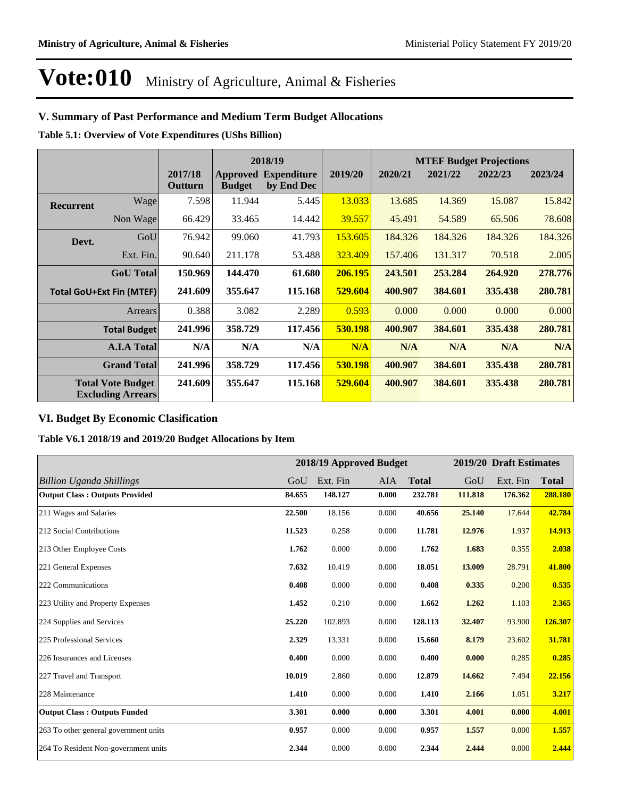### **V. Summary of Past Performance and Medium Term Budget Allocations**

**Table 5.1: Overview of Vote Expenditures (UShs Billion)**

|                  |                                                      |                    | 2018/19       |                                           |         |         |         | <b>MTEF Budget Projections</b> |         |
|------------------|------------------------------------------------------|--------------------|---------------|-------------------------------------------|---------|---------|---------|--------------------------------|---------|
|                  |                                                      | 2017/18<br>Outturn | <b>Budget</b> | <b>Approved Expenditure</b><br>by End Dec | 2019/20 | 2020/21 | 2021/22 | 2022/23                        | 2023/24 |
| <b>Recurrent</b> | Wage                                                 | 7.598              | 11.944        | 5.445                                     | 13.033  | 13.685  | 14.369  | 15.087                         | 15.842  |
|                  | Non Wage                                             | 66.429             | 33.465        | 14.442                                    | 39.557  | 45.491  | 54.589  | 65.506                         | 78.608  |
| Devt.            | GoU                                                  | 76.942             | 99.060        | 41.793                                    | 153.605 | 184.326 | 184.326 | 184.326                        | 184.326 |
|                  | Ext. Fin.                                            | 90.640             | 211.178       | 53.488                                    | 323.409 | 157.406 | 131.317 | 70.518                         | 2.005   |
|                  | <b>GoU</b> Total                                     | 150.969            | 144.470       | 61.680                                    | 206.195 | 243.501 | 253.284 | 264.920                        | 278.776 |
|                  | <b>Total GoU+Ext Fin (MTEF)</b>                      | 241.609            | 355.647       | 115.168                                   | 529.604 | 400.907 | 384.601 | 335.438                        | 280.781 |
|                  | Arrears                                              | 0.388              | 3.082         | 2.289                                     | 0.593   | 0.000   | 0.000   | 0.000                          | 0.000   |
|                  | <b>Total Budget</b>                                  | 241.996            | 358.729       | 117.456                                   | 530.198 | 400.907 | 384.601 | 335.438                        | 280.781 |
|                  | <b>A.I.A Total</b>                                   | N/A                | N/A           | N/A                                       | N/A     | N/A     | N/A     | N/A                            | N/A     |
|                  | <b>Grand Total</b>                                   | 241.996            | 358.729       | 117.456                                   | 530.198 | 400.907 | 384.601 | 335.438                        | 280.781 |
|                  | <b>Total Vote Budget</b><br><b>Excluding Arrears</b> | 241.609            | 355.647       | 115.168                                   | 529.604 | 400.907 | 384.601 | 335.438                        | 280.781 |

### **VI. Budget By Economic Clasification**

**Table V6.1 2018/19 and 2019/20 Budget Allocations by Item**

|                                       |        |          | 2018/19 Approved Budget | 2019/20 Draft Estimates |         |          |              |
|---------------------------------------|--------|----------|-------------------------|-------------------------|---------|----------|--------------|
| <b>Billion Uganda Shillings</b>       | GoU    | Ext. Fin | <b>AIA</b>              | <b>Total</b>            | GoU     | Ext. Fin | <b>Total</b> |
| <b>Output Class: Outputs Provided</b> | 84.655 | 148.127  | 0.000                   | 232.781                 | 111.818 | 176.362  | 288.180      |
| 211 Wages and Salaries                | 22.500 | 18.156   | 0.000                   | 40.656                  | 25.140  | 17.644   | 42.784       |
| 212 Social Contributions              | 11.523 | 0.258    | 0.000                   | 11.781                  | 12.976  | 1.937    | 14.913       |
| 213 Other Employee Costs              | 1.762  | 0.000    | 0.000                   | 1.762                   | 1.683   | 0.355    | 2.038        |
| 221 General Expenses                  | 7.632  | 10.419   | 0.000                   | 18.051                  | 13.009  | 28.791   | 41.800       |
| 222 Communications                    | 0.408  | 0.000    | 0.000                   | 0.408                   | 0.335   | 0.200    | 0.535        |
| 223 Utility and Property Expenses     | 1.452  | 0.210    | 0.000                   | 1.662                   | 1.262   | 1.103    | 2.365        |
| 224 Supplies and Services             | 25,220 | 102.893  | 0.000                   | 128.113                 | 32.407  | 93.900   | 126.307      |
| 225 Professional Services             | 2.329  | 13.331   | 0.000                   | 15.660                  | 8.179   | 23.602   | 31.781       |
| 226 Insurances and Licenses           | 0.400  | 0.000    | 0.000                   | 0.400                   | 0.000   | 0.285    | 0.285        |
| 227 Travel and Transport              | 10.019 | 2.860    | 0.000                   | 12.879                  | 14.662  | 7.494    | 22.156       |
| 228 Maintenance                       | 1.410  | 0.000    | 0.000                   | 1.410                   | 2.166   | 1.051    | 3.217        |
| <b>Output Class: Outputs Funded</b>   | 3.301  | 0.000    | 0.000                   | 3.301                   | 4.001   | 0.000    | 4.001        |
| 263 To other general government units | 0.957  | 0.000    | 0.000                   | 0.957                   | 1.557   | 0.000    | 1.557        |
| 264 To Resident Non-government units  | 2.344  | 0.000    | 0.000                   | 2.344                   | 2.444   | 0.000    | 2.444        |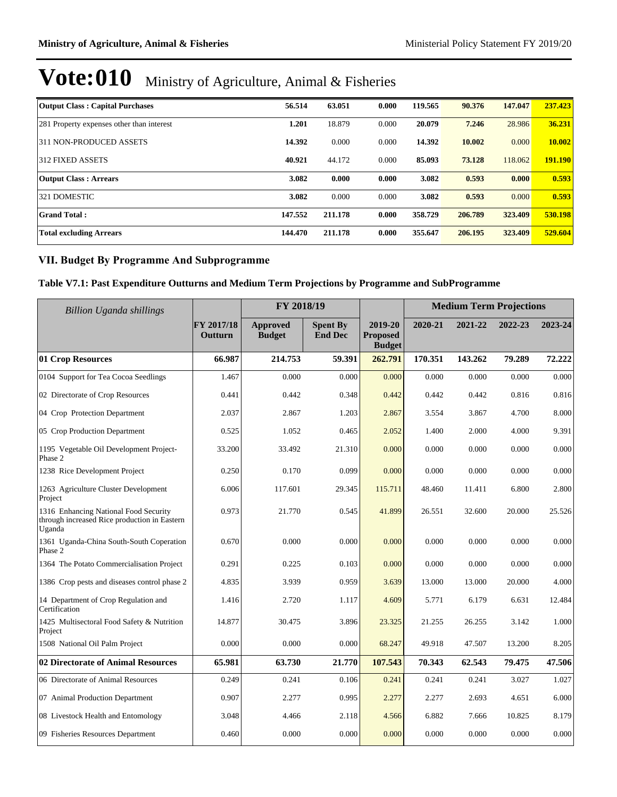| <b>Output Class: Capital Purchases</b>    | 56.514  | 63.051  | 0.000 | 119.565 | 90.376  | 147.047 | 237.423 |
|-------------------------------------------|---------|---------|-------|---------|---------|---------|---------|
| 281 Property expenses other than interest | 1.201   | 18.879  | 0.000 | 20.079  | 7.246   | 28.986  | 36.231  |
| 311 NON-PRODUCED ASSETS                   | 14.392  | 0.000   | 0.000 | 14.392  | 10.002  | 0.000   | 10.002  |
| 312 FIXED ASSETS                          | 40.921  | 44.172  | 0.000 | 85.093  | 73.128  | 118.062 | 191.190 |
| <b>Output Class: Arrears</b>              | 3.082   | 0.000   | 0.000 | 3.082   | 0.593   | 0.000   | 0.593   |
| 321 DOMESTIC                              | 3.082   | 0.000   | 0.000 | 3.082   | 0.593   | 0.000   | 0.593   |
| <b>Grand Total:</b>                       | 147.552 | 211.178 | 0.000 | 358.729 | 206.789 | 323.409 | 530.198 |
| <b>Total excluding Arrears</b>            | 144.470 | 211.178 | 0.000 | 355.647 | 206.195 | 323.409 | 529.604 |

### **VII. Budget By Programme And Subprogramme**

### **Table V7.1: Past Expenditure Outturns and Medium Term Projections by Programme and SubProgramme**

| <b>Billion Uganda shillings</b>                                                                 |                       | FY 2018/19                       |                                   |                                             | <b>Medium Term Projections</b> |         |         |         |
|-------------------------------------------------------------------------------------------------|-----------------------|----------------------------------|-----------------------------------|---------------------------------------------|--------------------------------|---------|---------|---------|
|                                                                                                 | FY 2017/18<br>Outturn | <b>Approved</b><br><b>Budget</b> | <b>Spent By</b><br><b>End Dec</b> | 2019-20<br><b>Proposed</b><br><b>Budget</b> | 2020-21                        | 2021-22 | 2022-23 | 2023-24 |
| 01 Crop Resources                                                                               | 66.987                | 214.753                          | 59.391                            | 262.791                                     | 170.351                        | 143.262 | 79.289  | 72.222  |
| 0104 Support for Tea Cocoa Seedlings                                                            | 1.467                 | 0.000                            | 0.000                             | 0.000                                       | 0.000                          | 0.000   | 0.000   | 0.000   |
| 02 Directorate of Crop Resources                                                                | 0.441                 | 0.442                            | 0.348                             | 0.442                                       | 0.442                          | 0.442   | 0.816   | 0.816   |
| 04 Crop Protection Department                                                                   | 2.037                 | 2.867                            | 1.203                             | 2.867                                       | 3.554                          | 3.867   | 4.700   | 8.000   |
| 05 Crop Production Department                                                                   | 0.525                 | 1.052                            | 0.465                             | 2.052                                       | 1.400                          | 2.000   | 4.000   | 9.391   |
| 1195 Vegetable Oil Development Project-<br>Phase 2                                              | 33.200                | 33.492                           | 21.310                            | 0.000                                       | 0.000                          | 0.000   | 0.000   | 0.000   |
| 1238 Rice Development Project                                                                   | 0.250                 | 0.170                            | 0.099                             | 0.000                                       | 0.000                          | 0.000   | 0.000   | 0.000   |
| 1263 Agriculture Cluster Development<br>Project                                                 | 6.006                 | 117.601                          | 29.345                            | 115.711                                     | 48.460                         | 11.411  | 6.800   | 2.800   |
| 1316 Enhancing National Food Security<br>through increased Rice production in Eastern<br>Uganda | 0.973                 | 21.770                           | 0.545                             | 41.899                                      | 26.551                         | 32.600  | 20.000  | 25.526  |
| 1361 Uganda-China South-South Coperation<br>Phase 2                                             | 0.670                 | 0.000                            | 0.000                             | 0.000                                       | 0.000                          | 0.000   | 0.000   | 0.000   |
| 1364 The Potato Commercialisation Project                                                       | 0.291                 | 0.225                            | 0.103                             | 0.000                                       | 0.000                          | 0.000   | 0.000   | 0.000   |
| 1386 Crop pests and diseases control phase 2                                                    | 4.835                 | 3.939                            | 0.959                             | 3.639                                       | 13.000                         | 13.000  | 20.000  | 4.000   |
| 14 Department of Crop Regulation and<br>Certification                                           | 1.416                 | 2.720                            | 1.117                             | 4.609                                       | 5.771                          | 6.179   | 6.631   | 12.484  |
| 1425 Multisectoral Food Safety & Nutrition<br>Project                                           | 14.877                | 30.475                           | 3.896                             | 23.325                                      | 21.255                         | 26.255  | 3.142   | 1.000   |
| 1508 National Oil Palm Project                                                                  | 0.000                 | 0.000                            | 0.000                             | 68.247                                      | 49.918                         | 47.507  | 13.200  | 8.205   |
| 02 Directorate of Animal Resources                                                              | 65.981                | 63.730                           | 21.770                            | 107.543                                     | 70.343                         | 62.543  | 79.475  | 47.506  |
| 06 Directorate of Animal Resources                                                              | 0.249                 | 0.241                            | 0.106                             | 0.241                                       | 0.241                          | 0.241   | 3.027   | 1.027   |
| 07 Animal Production Department                                                                 | 0.907                 | 2.277                            | 0.995                             | 2.277                                       | 2.277                          | 2.693   | 4.651   | 6.000   |
| 08 Livestock Health and Entomology                                                              | 3.048                 | 4.466                            | 2.118                             | 4.566                                       | 6.882                          | 7.666   | 10.825  | 8.179   |
| 09 Fisheries Resources Department                                                               | 0.460                 | 0.000                            | 0.000                             | 0.000                                       | 0.000                          | 0.000   | 0.000   | 0.000   |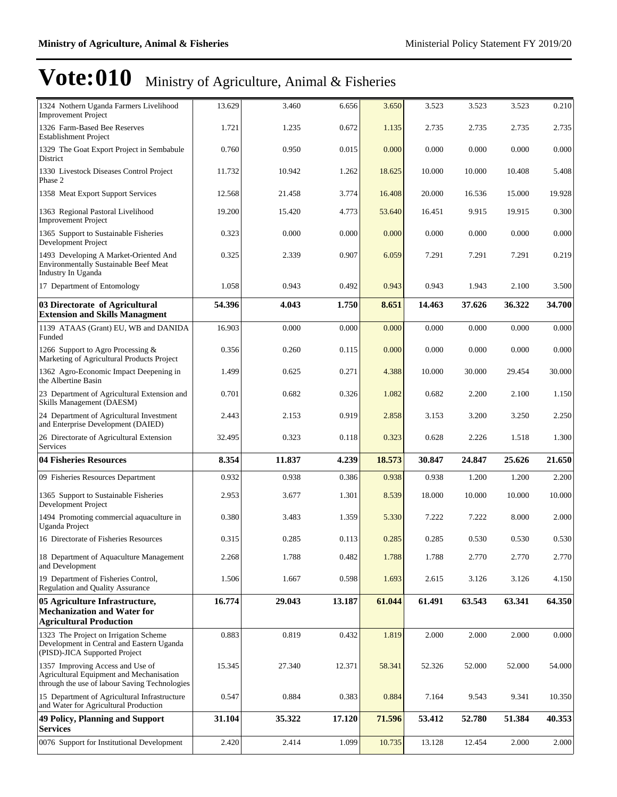| 1324 Nothern Uganda Farmers Livelihood<br><b>Improvement Project</b>                                                          | 13.629 | 3.460  | 6.656  | 3.650  | 3.523  | 3.523  | 3.523  | 0.210  |
|-------------------------------------------------------------------------------------------------------------------------------|--------|--------|--------|--------|--------|--------|--------|--------|
| 1326 Farm-Based Bee Reserves<br><b>Establishment Project</b>                                                                  | 1.721  | 1.235  | 0.672  | 1.135  | 2.735  | 2.735  | 2.735  | 2.735  |
| 1329 The Goat Export Project in Sembabule<br>District                                                                         | 0.760  | 0.950  | 0.015  | 0.000  | 0.000  | 0.000  | 0.000  | 0.000  |
| 1330 Livestock Diseases Control Project<br>Phase 2                                                                            | 11.732 | 10.942 | 1.262  | 18.625 | 10.000 | 10.000 | 10.408 | 5.408  |
| 1358 Meat Export Support Services                                                                                             | 12.568 | 21.458 | 3.774  | 16.408 | 20.000 | 16.536 | 15.000 | 19.928 |
| 1363 Regional Pastoral Livelihood<br><b>Improvement Project</b>                                                               | 19.200 | 15.420 | 4.773  | 53.640 | 16.451 | 9.915  | 19.915 | 0.300  |
| 1365 Support to Sustainable Fisheries<br>Development Project                                                                  | 0.323  | 0.000  | 0.000  | 0.000  | 0.000  | 0.000  | 0.000  | 0.000  |
| 1493 Developing A Market-Oriented And<br><b>Environmentally Sustainable Beef Meat</b><br>Industry In Uganda                   | 0.325  | 2.339  | 0.907  | 6.059  | 7.291  | 7.291  | 7.291  | 0.219  |
| 17 Department of Entomology                                                                                                   | 1.058  | 0.943  | 0.492  | 0.943  | 0.943  | 1.943  | 2.100  | 3.500  |
| 03 Directorate of Agricultural<br><b>Extension and Skills Managment</b>                                                       | 54.396 | 4.043  | 1.750  | 8.651  | 14.463 | 37.626 | 36.322 | 34.700 |
| 1139 ATAAS (Grant) EU, WB and DANIDA<br>Funded                                                                                | 16.903 | 0.000  | 0.000  | 0.000  | 0.000  | 0.000  | 0.000  | 0.000  |
| 1266 Support to Agro Processing &<br>Marketing of Agricultural Products Project                                               | 0.356  | 0.260  | 0.115  | 0.000  | 0.000  | 0.000  | 0.000  | 0.000  |
| 1362 Agro-Economic Impact Deepening in<br>the Albertine Basin                                                                 | 1.499  | 0.625  | 0.271  | 4.388  | 10.000 | 30.000 | 29.454 | 30.000 |
| 23 Department of Agricultural Extension and<br>Skills Management (DAESM)                                                      | 0.701  | 0.682  | 0.326  | 1.082  | 0.682  | 2.200  | 2.100  | 1.150  |
| 24 Department of Agricultural Investment<br>and Enterprise Development (DAIED)                                                | 2.443  | 2.153  | 0.919  | 2.858  | 3.153  | 3.200  | 3.250  | 2.250  |
| 26 Directorate of Agricultural Extension<br>Services                                                                          | 32.495 | 0.323  | 0.118  | 0.323  | 0.628  | 2.226  | 1.518  | 1.300  |
| 04 Fisheries Resources                                                                                                        | 8.354  | 11.837 | 4.239  | 18.573 | 30.847 | 24.847 | 25.626 | 21.650 |
| 09 Fisheries Resources Department                                                                                             | 0.932  | 0.938  | 0.386  | 0.938  | 0.938  | 1.200  | 1.200  | 2.200  |
| 1365 Support to Sustainable Fisheries<br>Development Project                                                                  | 2.953  | 3.677  | 1.301  | 8.539  | 18.000 | 10.000 | 10.000 | 10.000 |
| 1494 Promoting commercial aquaculture in<br><b>Uganda Project</b>                                                             |        |        |        |        |        |        |        |        |
|                                                                                                                               | 0.380  | 3.483  | 1.359  | 5.330  | 7.222  | 7.222  | 8.000  | 2.000  |
| 16 Directorate of Fisheries Resources                                                                                         | 0.315  | 0.285  | 0.113  | 0.285  | 0.285  | 0.530  | 0.530  | 0.530  |
| 18 Department of Aquaculture Management<br>and Development                                                                    | 2.268  | 1.788  | 0.482  | 1.788  | 1.788  | 2.770  | 2.770  | 2.770  |
| 19 Department of Fisheries Control,<br><b>Regulation and Quality Assurance</b>                                                | 1.506  | 1.667  | 0.598  | 1.693  | 2.615  | 3.126  | 3.126  | 4.150  |
| 05 Agriculture Infrastructure,<br><b>Mechanization and Water for</b><br><b>Agricultural Production</b>                        | 16.774 | 29.043 | 13.187 | 61.044 | 61.491 | 63.543 | 63.341 | 64.350 |
| 1323 The Project on Irrigation Scheme<br>Development in Central and Eastern Uganda<br>(PISD)-JICA Supported Project           | 0.883  | 0.819  | 0.432  | 1.819  | 2.000  | 2.000  | 2.000  | 0.000  |
| 1357 Improving Access and Use of<br>Agricultural Equipment and Mechanisation<br>through the use of labour Saving Technologies | 15.345 | 27.340 | 12.371 | 58.341 | 52.326 | 52.000 | 52.000 | 54.000 |
| 15 Department of Agricultural Infrastructure<br>and Water for Agricultural Production                                         | 0.547  | 0.884  | 0.383  | 0.884  | 7.164  | 9.543  | 9.341  | 10.350 |
| 49 Policy, Planning and Support<br><b>Services</b>                                                                            | 31.104 | 35.322 | 17.120 | 71.596 | 53.412 | 52.780 | 51.384 | 40.353 |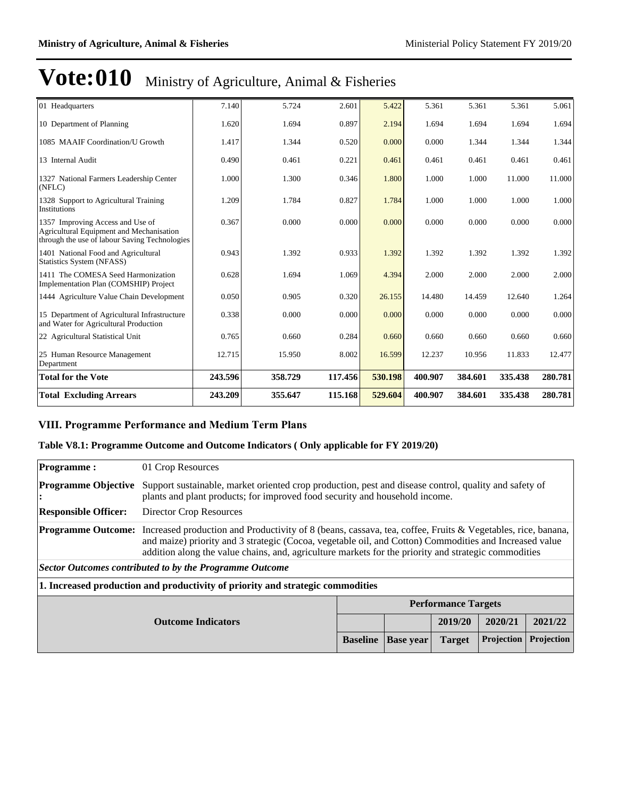| 01 Headquarters                                                                                                               | 7.140   | 5.724   | 2.601   | 5.422   | 5.361   | 5.361   | 5.361   | 5.061   |
|-------------------------------------------------------------------------------------------------------------------------------|---------|---------|---------|---------|---------|---------|---------|---------|
| 10 Department of Planning                                                                                                     | 1.620   | 1.694   | 0.897   | 2.194   | 1.694   | 1.694   | 1.694   | 1.694   |
| 1085 MAAIF Coordination/U Growth                                                                                              | 1.417   | 1.344   | 0.520   | 0.000   | 0.000   | 1.344   | 1.344   | 1.344   |
| 13 Internal Audit                                                                                                             | 0.490   | 0.461   | 0.221   | 0.461   | 0.461   | 0.461   | 0.461   | 0.461   |
| 1327 National Farmers Leadership Center<br>(NFLC)                                                                             | 1.000   | 1.300   | 0.346   | 1.800   | 1.000   | 1.000   | 11.000  | 11.000  |
| 1328 Support to Agricultural Training<br>Institutions                                                                         | 1.209   | 1.784   | 0.827   | 1.784   | 1.000   | 1.000   | 1.000   | 1.000   |
| 1357 Improving Access and Use of<br>Agricultural Equipment and Mechanisation<br>through the use of labour Saving Technologies | 0.367   | 0.000   | 0.000   | 0.000   | 0.000   | 0.000   | 0.000   | 0.000   |
| 1401 National Food and Agricultural<br>Statistics System (NFASS)                                                              | 0.943   | 1.392   | 0.933   | 1.392   | 1.392   | 1.392   | 1.392   | 1.392   |
| 1411 The COMESA Seed Harmonization<br>Implementation Plan (COMSHIP) Project                                                   | 0.628   | 1.694   | 1.069   | 4.394   | 2.000   | 2.000   | 2.000   | 2.000   |
| 1444 Agriculture Value Chain Development                                                                                      | 0.050   | 0.905   | 0.320   | 26.155  | 14.480  | 14.459  | 12.640  | 1.264   |
| 15 Department of Agricultural Infrastructure<br>and Water for Agricultural Production                                         | 0.338   | 0.000   | 0.000   | 0.000   | 0.000   | 0.000   | 0.000   | 0.000   |
| 22 Agricultural Statistical Unit                                                                                              | 0.765   | 0.660   | 0.284   | 0.660   | 0.660   | 0.660   | 0.660   | 0.660   |
| 25 Human Resource Management<br>Department                                                                                    | 12.715  | 15.950  | 8.002   | 16.599  | 12.237  | 10.956  | 11.833  | 12.477  |
| <b>Total for the Vote</b>                                                                                                     | 243.596 | 358.729 | 117.456 | 530.198 | 400.907 | 384.601 | 335.438 | 280.781 |
| <b>Total Excluding Arrears</b>                                                                                                | 243.209 | 355.647 | 115.168 | 529.604 | 400.907 | 384.601 | 335.438 | 280.781 |

### **VIII. Programme Performance and Medium Term Plans**

### **Table V8.1: Programme Outcome and Outcome Indicators ( Only applicable for FY 2019/20)**

| <b>Programme:</b>                       | 01 Crop Resources                                                                                                                                                                                                                                                                                                                                       |                 |                  |                            |                   |                   |  |  |  |
|-----------------------------------------|---------------------------------------------------------------------------------------------------------------------------------------------------------------------------------------------------------------------------------------------------------------------------------------------------------------------------------------------------------|-----------------|------------------|----------------------------|-------------------|-------------------|--|--|--|
| <b>Programme Objective</b><br>$\bullet$ | Support sustainable, market oriented crop production, pest and disease control, quality and safety of<br>plants and plant products; for improved food security and household income.                                                                                                                                                                    |                 |                  |                            |                   |                   |  |  |  |
| <b>Responsible Officer:</b>             | Director Crop Resources                                                                                                                                                                                                                                                                                                                                 |                 |                  |                            |                   |                   |  |  |  |
|                                         | <b>Programme Outcome:</b> Increased production and Productivity of 8 (beans, cassava, tea, coffee, Fruits & Vegetables, rice, banana,<br>and maize) priority and 3 strategic (Cocoa, vegetable oil, and Cotton) Commodities and Increased value<br>addition along the value chains, and, agriculture markets for the priority and strategic commodities |                 |                  |                            |                   |                   |  |  |  |
|                                         | Sector Outcomes contributed to by the Programme Outcome                                                                                                                                                                                                                                                                                                 |                 |                  |                            |                   |                   |  |  |  |
|                                         | 1. Increased production and productivity of priority and strategic commodities                                                                                                                                                                                                                                                                          |                 |                  |                            |                   |                   |  |  |  |
|                                         |                                                                                                                                                                                                                                                                                                                                                         |                 |                  | <b>Performance Targets</b> |                   |                   |  |  |  |
|                                         | 2019/20<br>2020/21<br>2021/22<br><b>Outcome Indicators</b>                                                                                                                                                                                                                                                                                              |                 |                  |                            |                   |                   |  |  |  |
|                                         |                                                                                                                                                                                                                                                                                                                                                         | <b>Baseline</b> | <b>Base year</b> | <b>Target</b>              | <b>Projection</b> | <b>Projection</b> |  |  |  |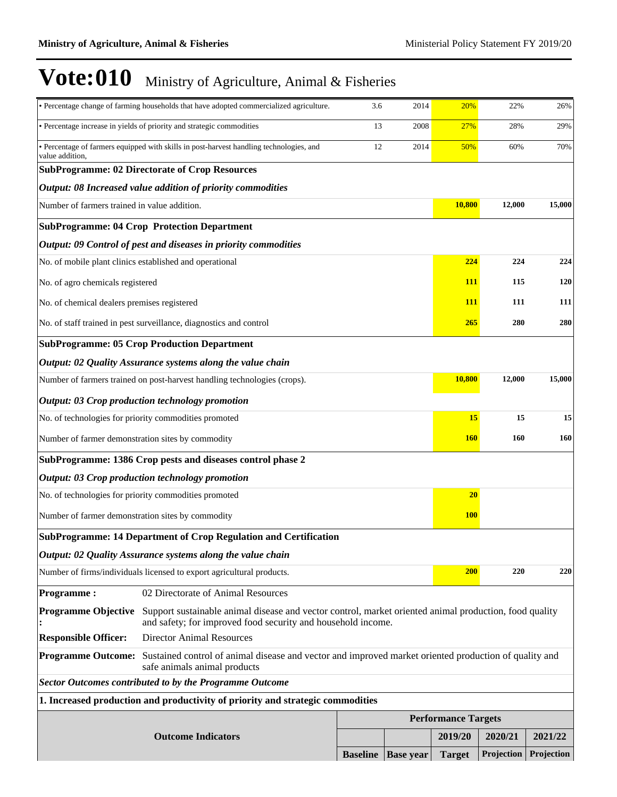|                                                   | · Percentage change of farming households that have adopted commercialized agriculture.                                                                                | 3.6                        | 2014             | 20%           | 22%        | 26%        |  |
|---------------------------------------------------|------------------------------------------------------------------------------------------------------------------------------------------------------------------------|----------------------------|------------------|---------------|------------|------------|--|
|                                                   | · Percentage increase in yields of priority and strategic commodities                                                                                                  | 13                         | 2008             | 27%           | 28%        | 29%        |  |
| value addition,                                   | · Percentage of farmers equipped with skills in post-harvest handling technologies, and                                                                                | 12                         | 2014             | 50%           | 60%        | 70%        |  |
|                                                   | <b>SubProgramme: 02 Directorate of Crop Resources</b>                                                                                                                  |                            |                  |               |            |            |  |
|                                                   | Output: 08 Increased value addition of priority commodities                                                                                                            |                            |                  |               |            |            |  |
| Number of farmers trained in value addition.      |                                                                                                                                                                        |                            |                  | 10,800        | 12,000     | 15,000     |  |
|                                                   | <b>SubProgramme: 04 Crop Protection Department</b>                                                                                                                     |                            |                  |               |            |            |  |
|                                                   | Output: 09 Control of pest and diseases in priority commodities                                                                                                        |                            |                  |               |            |            |  |
|                                                   | No. of mobile plant clinics established and operational                                                                                                                |                            |                  | 224           | 224        | 224        |  |
| No. of agro chemicals registered                  |                                                                                                                                                                        |                            |                  | <u>111</u>    | 115        | 120        |  |
| No. of chemical dealers premises registered       |                                                                                                                                                                        |                            |                  | <u>111</u>    | 111        | 111        |  |
|                                                   | No. of staff trained in pest surveillance, diagnostics and control                                                                                                     |                            |                  | 265           | 280        | 280        |  |
|                                                   | <b>SubProgramme: 05 Crop Production Department</b>                                                                                                                     |                            |                  |               |            |            |  |
|                                                   | Output: 02 Quality Assurance systems along the value chain                                                                                                             |                            |                  |               |            |            |  |
|                                                   | Number of farmers trained on post-harvest handling technologies (crops).                                                                                               |                            |                  | 10,800        | 12,000     | 15,000     |  |
|                                                   | Output: 03 Crop production technology promotion                                                                                                                        |                            |                  |               |            |            |  |
|                                                   | No. of technologies for priority commodities promoted                                                                                                                  |                            |                  | 15            | 15         | 15         |  |
| Number of farmer demonstration sites by commodity |                                                                                                                                                                        |                            |                  | <b>160</b>    | 160        | 160        |  |
|                                                   | SubProgramme: 1386 Crop pests and diseases control phase 2                                                                                                             |                            |                  |               |            |            |  |
|                                                   | Output: 03 Crop production technology promotion                                                                                                                        |                            |                  |               |            |            |  |
|                                                   | No. of technologies for priority commodities promoted                                                                                                                  |                            |                  | 20            |            |            |  |
| Number of farmer demonstration sites by commodity |                                                                                                                                                                        |                            |                  | <b>100</b>    |            |            |  |
|                                                   | <b>SubProgramme: 14 Department of Crop Regulation and Certification</b>                                                                                                |                            |                  |               |            |            |  |
|                                                   | Output: 02 Quality Assurance systems along the value chain                                                                                                             |                            |                  |               |            |            |  |
|                                                   | Number of firms/individuals licensed to export agricultural products.                                                                                                  |                            |                  | <b>200</b>    | 220        | 220        |  |
| <b>Programme:</b>                                 | 02 Directorate of Animal Resources                                                                                                                                     |                            |                  |               |            |            |  |
| <b>Programme Objective</b>                        | Support sustainable animal disease and vector control, market oriented animal production, food quality<br>and safety; for improved food security and household income. |                            |                  |               |            |            |  |
| <b>Responsible Officer:</b>                       | <b>Director Animal Resources</b>                                                                                                                                       |                            |                  |               |            |            |  |
| <b>Programme Outcome:</b>                         | Sustained control of animal disease and vector and improved market oriented production of quality and<br>safe animals animal products                                  |                            |                  |               |            |            |  |
|                                                   | <b>Sector Outcomes contributed to by the Programme Outcome</b>                                                                                                         |                            |                  |               |            |            |  |
|                                                   | 1. Increased production and productivity of priority and strategic commodities                                                                                         |                            |                  |               |            |            |  |
|                                                   |                                                                                                                                                                        | <b>Performance Targets</b> |                  |               |            |            |  |
|                                                   | <b>Outcome Indicators</b>                                                                                                                                              |                            |                  | 2019/20       | 2020/21    | 2021/22    |  |
|                                                   |                                                                                                                                                                        | <b>Baseline</b>            | <b>Base year</b> | <b>Target</b> | Projection | Projection |  |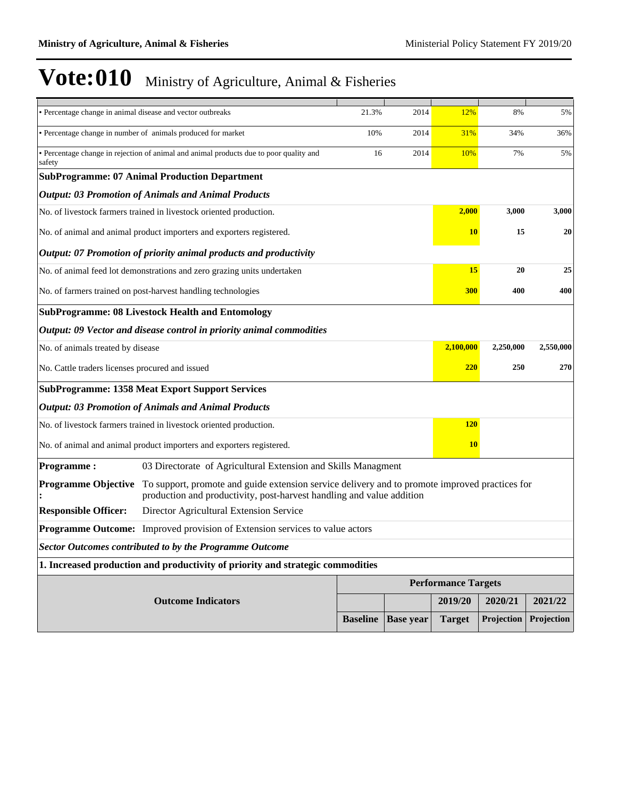| · Percentage change in animal disease and vector outbreaks |                                                                                                                                                                         | 21.3%           | 2014             | 12%                        | 8%         | 5%         |
|------------------------------------------------------------|-------------------------------------------------------------------------------------------------------------------------------------------------------------------------|-----------------|------------------|----------------------------|------------|------------|
|                                                            | • Percentage change in number of animals produced for market                                                                                                            | 10%             | 2014             | 31%                        | 34%        | 36%        |
| safety                                                     | • Percentage change in rejection of animal and animal products due to poor quality and                                                                                  | 16              | 2014             | 10%                        | 7%         | 5%         |
|                                                            | <b>SubProgramme: 07 Animal Production Department</b>                                                                                                                    |                 |                  |                            |            |            |
|                                                            | <b>Output: 03 Promotion of Animals and Animal Products</b>                                                                                                              |                 |                  |                            |            |            |
|                                                            | No. of livestock farmers trained in livestock oriented production.                                                                                                      |                 |                  | 2,000                      | 3,000      | 3,000      |
|                                                            | No. of animal and animal product importers and exporters registered.                                                                                                    |                 |                  | <b>10</b>                  | 15         | 20         |
|                                                            | Output: 07 Promotion of priority animal products and productivity                                                                                                       |                 |                  |                            |            |            |
|                                                            | No. of animal feed lot demonstrations and zero grazing units undertaken                                                                                                 |                 |                  | <b>15</b>                  | 20         | 25         |
|                                                            | No. of farmers trained on post-harvest handling technologies                                                                                                            |                 |                  | 300                        | 400        | 400        |
|                                                            | <b>SubProgramme: 08 Livestock Health and Entomology</b>                                                                                                                 |                 |                  |                            |            |            |
|                                                            | Output: 09 Vector and disease control in priority animal commodities                                                                                                    |                 |                  |                            |            |            |
| No. of animals treated by disease                          |                                                                                                                                                                         |                 |                  | 2,100,000                  | 2,250,000  | 2,550,000  |
| No. Cattle traders licenses procured and issued            |                                                                                                                                                                         |                 |                  | <b>220</b>                 | 250        | 270        |
|                                                            | <b>SubProgramme: 1358 Meat Export Support Services</b>                                                                                                                  |                 |                  |                            |            |            |
|                                                            | <b>Output: 03 Promotion of Animals and Animal Products</b>                                                                                                              |                 |                  |                            |            |            |
|                                                            | No. of livestock farmers trained in livestock oriented production.                                                                                                      |                 |                  | <b>120</b>                 |            |            |
|                                                            | No. of animal and animal product importers and exporters registered.                                                                                                    |                 |                  | <b>10</b>                  |            |            |
| <b>Programme:</b>                                          | 03 Directorate of Agricultural Extension and Skills Managment                                                                                                           |                 |                  |                            |            |            |
| <b>Programme Objective</b>                                 | To support, promote and guide extension service delivery and to promote improved practices for<br>production and productivity, post-harvest handling and value addition |                 |                  |                            |            |            |
| <b>Responsible Officer:</b>                                | Director Agricultural Extension Service                                                                                                                                 |                 |                  |                            |            |            |
|                                                            | <b>Programme Outcome:</b> Improved provision of Extension services to value actors                                                                                      |                 |                  |                            |            |            |
|                                                            | <b>Sector Outcomes contributed to by the Programme Outcome</b>                                                                                                          |                 |                  |                            |            |            |
|                                                            | 1. Increased production and productivity of priority and strategic commodities                                                                                          |                 |                  |                            |            |            |
|                                                            |                                                                                                                                                                         |                 |                  | <b>Performance Targets</b> |            |            |
|                                                            | <b>Outcome Indicators</b>                                                                                                                                               |                 |                  | 2019/20                    | 2020/21    | 2021/22    |
|                                                            |                                                                                                                                                                         | <b>Baseline</b> | <b>Base year</b> | <b>Target</b>              | Projection | Projection |
|                                                            |                                                                                                                                                                         |                 |                  |                            |            |            |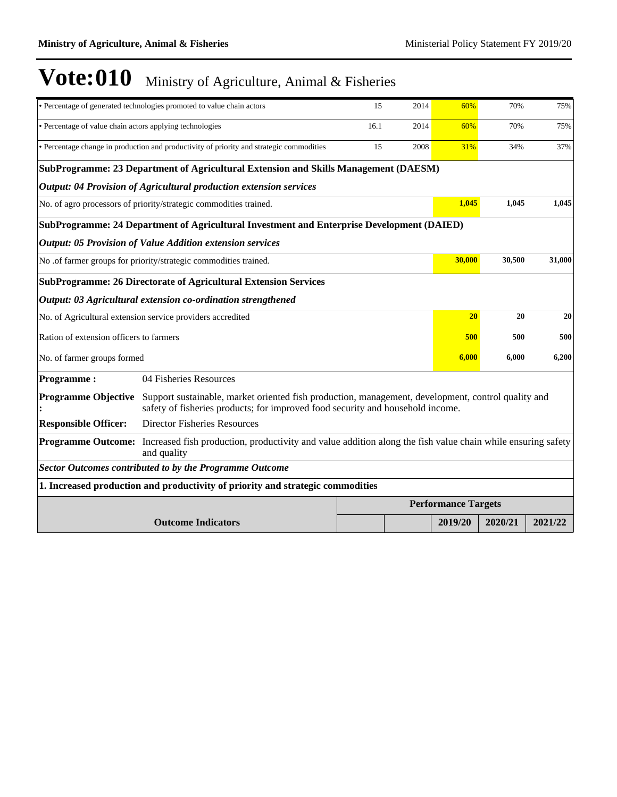|                                                          | • Percentage of generated technologies promoted to value chain actors                                                                                                                | 15   | 2014 | 60%                        | 70%     | 75%     |
|----------------------------------------------------------|--------------------------------------------------------------------------------------------------------------------------------------------------------------------------------------|------|------|----------------------------|---------|---------|
| • Percentage of value chain actors applying technologies |                                                                                                                                                                                      | 16.1 | 2014 | 60%                        | 70%     | 75%     |
|                                                          | · Percentage change in production and productivity of priority and strategic commodities                                                                                             | 15   | 2008 | 31%                        | 34%     | 37%     |
|                                                          | SubProgramme: 23 Department of Agricultural Extension and Skills Management (DAESM)                                                                                                  |      |      |                            |         |         |
|                                                          | Output: 04 Provision of Agricultural production extension services                                                                                                                   |      |      |                            |         |         |
|                                                          | No. of agro processors of priority/strategic commodities trained.                                                                                                                    |      |      | 1,045                      | 1,045   | 1,045   |
|                                                          | SubProgramme: 24 Department of Agricultural Investment and Enterprise Development (DAIED)                                                                                            |      |      |                            |         |         |
|                                                          | <b>Output: 05 Provision of Value Addition extension services</b>                                                                                                                     |      |      |                            |         |         |
|                                                          | No .of farmer groups for priority/strategic commodities trained.                                                                                                                     |      |      | 30,000                     | 30,500  | 31,000  |
|                                                          | <b>SubProgramme: 26 Directorate of Agricultural Extension Services</b>                                                                                                               |      |      |                            |         |         |
|                                                          | Output: 03 Agricultural extension co-ordination strengthened                                                                                                                         |      |      |                            |         |         |
|                                                          | No. of Agricultural extension service providers accredited                                                                                                                           |      |      | 20                         | 20      | 20      |
| Ration of extension officers to farmers                  |                                                                                                                                                                                      |      |      | 500                        | 500     | 500     |
| No. of farmer groups formed                              |                                                                                                                                                                                      |      |      | 6,000                      | 6,000   | 6,200   |
| <b>Programme:</b>                                        | 04 Fisheries Resources                                                                                                                                                               |      |      |                            |         |         |
| <b>Programme Objective</b>                               | Support sustainable, market oriented fish production, management, development, control quality and<br>safety of fisheries products; for improved food security and household income. |      |      |                            |         |         |
| <b>Responsible Officer:</b>                              | <b>Director Fisheries Resources</b>                                                                                                                                                  |      |      |                            |         |         |
| <b>Programme Outcome:</b>                                | Increased fish production, productivity and value addition along the fish value chain while ensuring safety<br>and quality                                                           |      |      |                            |         |         |
|                                                          | <b>Sector Outcomes contributed to by the Programme Outcome</b>                                                                                                                       |      |      |                            |         |         |
|                                                          | 1. Increased production and productivity of priority and strategic commodities                                                                                                       |      |      |                            |         |         |
|                                                          |                                                                                                                                                                                      |      |      | <b>Performance Targets</b> |         |         |
|                                                          | <b>Outcome Indicators</b>                                                                                                                                                            |      |      | 2019/20                    | 2020/21 | 2021/22 |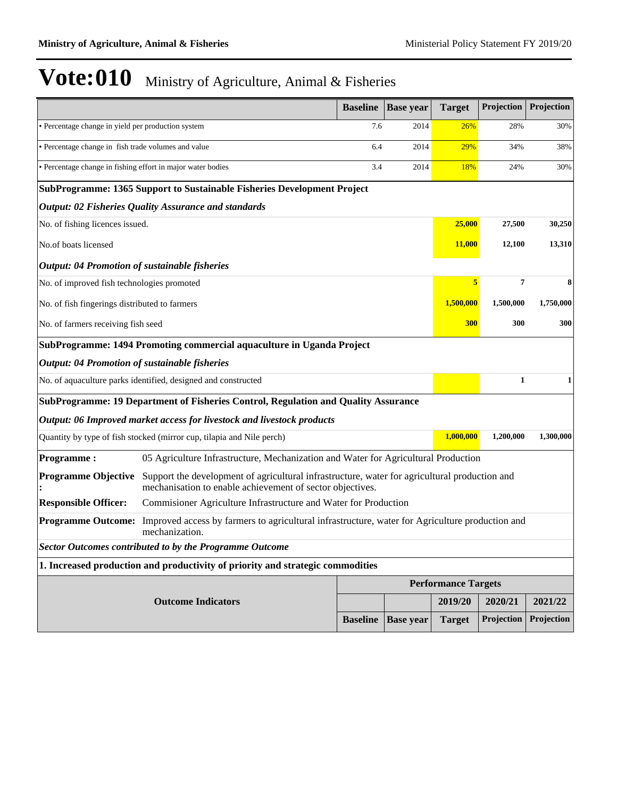|                                                             |                                                                                                                                                            | <b>Baseline</b> | <b>Base year</b> | <b>Target</b>              | Projection   | Projection |
|-------------------------------------------------------------|------------------------------------------------------------------------------------------------------------------------------------------------------------|-----------------|------------------|----------------------------|--------------|------------|
| · Percentage change in yield per production system          |                                                                                                                                                            | 7.6             | 2014             | 26%                        | 28%          | 30%        |
| · Percentage change in fish trade volumes and value         |                                                                                                                                                            | 6.4             | 2014             | 29%                        | 34%          | 38%        |
| · Percentage change in fishing effort in major water bodies |                                                                                                                                                            | 3.4             | 2014             | 18%                        | 24%          | 30%        |
|                                                             | SubProgramme: 1365 Support to Sustainable Fisheries Development Project                                                                                    |                 |                  |                            |              |            |
|                                                             | <b>Output: 02 Fisheries Quality Assurance and standards</b>                                                                                                |                 |                  |                            |              |            |
| No. of fishing licences issued.                             |                                                                                                                                                            |                 |                  | 25,000                     | 27,500       | 30,250     |
| No.of boats licensed                                        |                                                                                                                                                            |                 |                  | 11,000                     | 12,100       | 13,310     |
| <b>Output: 04 Promotion of sustainable fisheries</b>        |                                                                                                                                                            |                 |                  |                            |              |            |
| No. of improved fish technologies promoted                  |                                                                                                                                                            |                 |                  | 5                          | 7            | 8          |
| No. of fish fingerings distributed to farmers               |                                                                                                                                                            |                 |                  | 1,500,000                  | 1,500,000    | 1,750,000  |
| No. of farmers receiving fish seed                          |                                                                                                                                                            |                 |                  | 300                        | 300          | 300        |
|                                                             | SubProgramme: 1494 Promoting commercial aquaculture in Uganda Project                                                                                      |                 |                  |                            |              |            |
| <b>Output: 04 Promotion of sustainable fisheries</b>        |                                                                                                                                                            |                 |                  |                            |              |            |
|                                                             | No. of aquaculture parks identified, designed and constructed                                                                                              |                 |                  |                            | $\mathbf{1}$ | 1          |
|                                                             | SubProgramme: 19 Department of Fisheries Control, Regulation and Quality Assurance                                                                         |                 |                  |                            |              |            |
|                                                             | Output: 06 Improved market access for livestock and livestock products                                                                                     |                 |                  |                            |              |            |
|                                                             | Quantity by type of fish stocked (mirror cup, tilapia and Nile perch)                                                                                      |                 |                  | 1,000,000                  | 1,200,000    | 1,300,000  |
| <b>Programme:</b>                                           | 05 Agriculture Infrastructure, Mechanization and Water for Agricultural Production                                                                         |                 |                  |                            |              |            |
| <b>Programme Objective</b>                                  | Support the development of agricultural infrastructure, water for agricultural production and<br>mechanisation to enable achievement of sector objectives. |                 |                  |                            |              |            |
| <b>Responsible Officer:</b>                                 | Commisioner Agriculture Infrastructure and Water for Production                                                                                            |                 |                  |                            |              |            |
|                                                             | <b>Programme Outcome:</b> Improved access by farmers to agricultural infrastructure, water for Agriculture production and<br>mechanization.                |                 |                  |                            |              |            |
|                                                             | <b>Sector Outcomes contributed to by the Programme Outcome</b>                                                                                             |                 |                  |                            |              |            |
|                                                             | 1. Increased production and productivity of priority and strategic commodities                                                                             |                 |                  |                            |              |            |
|                                                             |                                                                                                                                                            |                 |                  | <b>Performance Targets</b> |              |            |
|                                                             | <b>Outcome Indicators</b>                                                                                                                                  |                 |                  | 2019/20                    | 2020/21      | 2021/22    |
|                                                             |                                                                                                                                                            | <b>Baseline</b> | <b>Base year</b> | <b>Target</b>              | Projection   | Projection |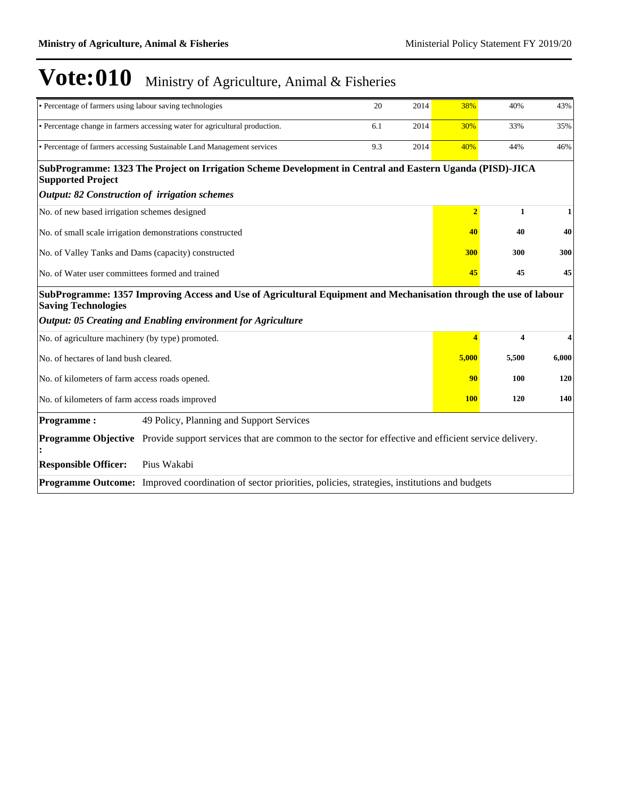| • Percentage of farmers using labour saving technologies                                                                                        |                                                                                                      | 20  | 2014 | 38%            | 40%   | 43%   |
|-------------------------------------------------------------------------------------------------------------------------------------------------|------------------------------------------------------------------------------------------------------|-----|------|----------------|-------|-------|
| • Percentage change in farmers accessing water for agricultural production.                                                                     |                                                                                                      | 6.1 | 2014 | 30%            | 33%   | 35%   |
| • Percentage of farmers accessing Sustainable Land Management services                                                                          |                                                                                                      | 9.3 | 2014 | 40%            | 44%   | 46%   |
| SubProgramme: 1323 The Project on Irrigation Scheme Development in Central and Eastern Uganda (PISD)-JICA<br><b>Supported Project</b>           |                                                                                                      |     |      |                |       |       |
| <b>Output: 82 Construction of irrigation schemes</b>                                                                                            |                                                                                                      |     |      |                |       |       |
| No. of new based irrigation schemes designed                                                                                                    |                                                                                                      |     |      | $\overline{2}$ | 1     | 1     |
| No. of small scale irrigation demonstrations constructed                                                                                        |                                                                                                      |     |      | 40             | 40    | 40    |
| No. of Valley Tanks and Dams (capacity) constructed                                                                                             |                                                                                                      |     |      | 300            | 300   | 300   |
| No. of Water user committees formed and trained                                                                                                 |                                                                                                      |     |      | 45             | 45    | 45    |
| SubProgramme: 1357 Improving Access and Use of Agricultural Equipment and Mechanisation through the use of labour<br><b>Saving Technologies</b> |                                                                                                      |     |      |                |       |       |
| Output: 05 Creating and Enabling environment for Agriculture                                                                                    |                                                                                                      |     |      |                |       |       |
| No. of agriculture machinery (by type) promoted.                                                                                                |                                                                                                      |     |      | $\overline{4}$ | 4     | 4     |
| No. of hectares of land bush cleared.                                                                                                           |                                                                                                      |     |      | 5,000          | 5,500 | 6,000 |
| No. of kilometers of farm access roads opened.                                                                                                  |                                                                                                      |     |      | 90             | 100   | 120   |
| No. of kilometers of farm access roads improved                                                                                                 |                                                                                                      |     |      | <b>100</b>     | 120   | 140   |
| <b>Programme:</b>                                                                                                                               | 49 Policy, Planning and Support Services                                                             |     |      |                |       |       |
| <b>Programme Objective</b>                                                                                                                      | Provide support services that are common to the sector for effective and efficient service delivery. |     |      |                |       |       |
| <b>Responsible Officer:</b><br>Pius Wakabi                                                                                                      |                                                                                                      |     |      |                |       |       |
| <b>Programme Outcome:</b> Improved coordination of sector priorities, policies, strategies, institutions and budgets                            |                                                                                                      |     |      |                |       |       |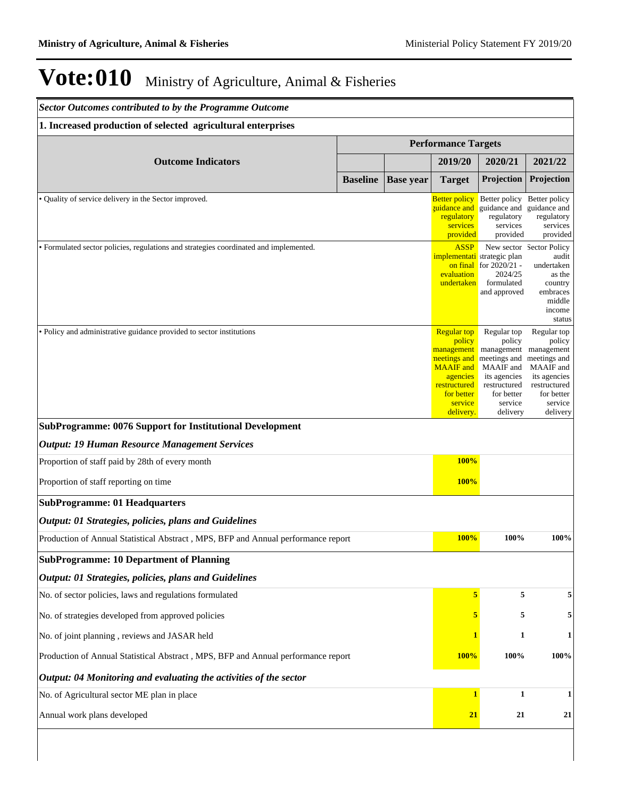| <b>Sector Outcomes contributed to by the Programme Outcome</b>                        |                            |                  |                                                                                                                                                  |                                                                                                                                       |                                                                                                                                              |
|---------------------------------------------------------------------------------------|----------------------------|------------------|--------------------------------------------------------------------------------------------------------------------------------------------------|---------------------------------------------------------------------------------------------------------------------------------------|----------------------------------------------------------------------------------------------------------------------------------------------|
| 1. Increased production of selected agricultural enterprises                          |                            |                  |                                                                                                                                                  |                                                                                                                                       |                                                                                                                                              |
|                                                                                       | <b>Performance Targets</b> |                  |                                                                                                                                                  |                                                                                                                                       |                                                                                                                                              |
| <b>Outcome Indicators</b>                                                             |                            |                  | 2019/20                                                                                                                                          | 2020/21                                                                                                                               | 2021/22                                                                                                                                      |
|                                                                                       | <b>Baseline</b>            | <b>Base year</b> | <b>Target</b>                                                                                                                                    | Projection                                                                                                                            | Projection                                                                                                                                   |
| • Quality of service delivery in the Sector improved.                                 |                            |                  | <b>Better policy</b><br>zuidance and<br>regulatory<br>services<br>provided                                                                       | Better policy<br>guidance and<br>regulatory<br>services<br>provided                                                                   | Better policy<br>guidance and<br>regulatory<br>services<br>provided                                                                          |
| • Formulated sector policies, regulations and strategies coordinated and implemented. |                            |                  | <b>ASSP</b><br>evaluation<br>undertaken                                                                                                          | <i>implementati</i> strategic plan<br>on final for $2020/21$ -<br>2024/25<br>formulated<br>and approved                               | New sector Sector Policy<br>audit<br>undertaken<br>as the<br>country<br>embraces<br>middle<br>income<br>status                               |
| • Policy and administrative guidance provided to sector institutions                  |                            |                  | <b>Regular top</b><br>policy<br>management<br>neetings and<br><b>MAAIF</b> and<br>agencies<br>restructured<br>for better<br>service<br>delivery. | Regular top<br>policy<br>management<br>meetings and<br>MAAIF and<br>its agencies<br>restructured<br>for better<br>service<br>delivery | Regular top<br>policy<br>management<br>meetings and<br><b>MAAIF</b> and<br>its agencies<br>restructured<br>for better<br>service<br>delivery |
| <b>SubProgramme: 0076 Support for Institutional Development</b>                       |                            |                  |                                                                                                                                                  |                                                                                                                                       |                                                                                                                                              |
| <b>Output: 19 Human Resource Management Services</b>                                  |                            |                  |                                                                                                                                                  |                                                                                                                                       |                                                                                                                                              |
| Proportion of staff paid by 28th of every month                                       |                            |                  | 100%                                                                                                                                             |                                                                                                                                       |                                                                                                                                              |
| Proportion of staff reporting on time                                                 |                            |                  | 100%                                                                                                                                             |                                                                                                                                       |                                                                                                                                              |
| <b>SubProgramme: 01 Headquarters</b>                                                  |                            |                  |                                                                                                                                                  |                                                                                                                                       |                                                                                                                                              |
| <b>Output: 01 Strategies, policies, plans and Guidelines</b>                          |                            |                  |                                                                                                                                                  |                                                                                                                                       |                                                                                                                                              |
| Production of Annual Statistical Abstract, MPS, BFP and Annual performance report     |                            |                  | 100%                                                                                                                                             | 100%                                                                                                                                  | 100%                                                                                                                                         |
| <b>SubProgramme: 10 Department of Planning</b>                                        |                            |                  |                                                                                                                                                  |                                                                                                                                       |                                                                                                                                              |
| Output: 01 Strategies, policies, plans and Guidelines                                 |                            |                  |                                                                                                                                                  |                                                                                                                                       |                                                                                                                                              |
| No. of sector policies, laws and regulations formulated                               |                            |                  | 5                                                                                                                                                | 5                                                                                                                                     | 5                                                                                                                                            |
| No. of strategies developed from approved policies                                    |                            |                  | 5                                                                                                                                                | 5                                                                                                                                     | $\sqrt{5}$                                                                                                                                   |
| No. of joint planning, reviews and JASAR held                                         |                            |                  | 1                                                                                                                                                | $\mathbf{1}$                                                                                                                          | $\mathbf{1}$                                                                                                                                 |
| Production of Annual Statistical Abstract, MPS, BFP and Annual performance report     |                            |                  | 100%                                                                                                                                             | 100%                                                                                                                                  | 100%                                                                                                                                         |
| Output: 04 Monitoring and evaluating the activities of the sector                     |                            |                  |                                                                                                                                                  |                                                                                                                                       |                                                                                                                                              |
| No. of Agricultural sector ME plan in place                                           |                            |                  | $\mathbf{1}$                                                                                                                                     | $\mathbf{1}$                                                                                                                          | $\mathbf{1}$                                                                                                                                 |
| Annual work plans developed                                                           |                            |                  | 21                                                                                                                                               | 21                                                                                                                                    | 21                                                                                                                                           |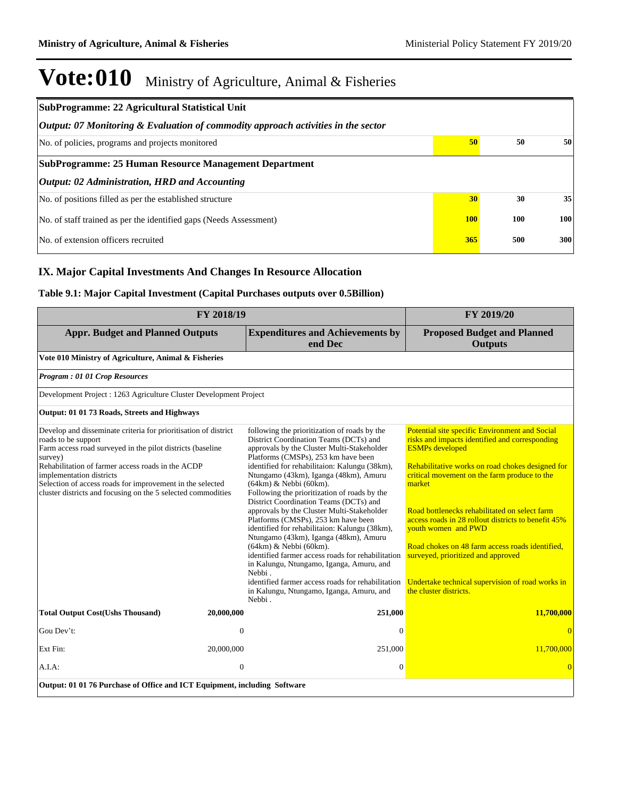| SubProgramme: 22 Agricultural Statistical Unit                                    |            |     |     |  |  |  |  |
|-----------------------------------------------------------------------------------|------------|-----|-----|--|--|--|--|
| Output: 07 Monitoring & Evaluation of commodity approach activities in the sector |            |     |     |  |  |  |  |
| No. of policies, programs and projects monitored                                  | 50         | 50  | 50  |  |  |  |  |
| SubProgramme: 25 Human Resource Management Department                             |            |     |     |  |  |  |  |
| Output: 02 Administration, HRD and Accounting                                     |            |     |     |  |  |  |  |
| No. of positions filled as per the established structure                          | 30         | 30  | 35  |  |  |  |  |
| No. of staff trained as per the identified gaps (Needs Assessment)                | <b>100</b> | 100 | 100 |  |  |  |  |
| No. of extension officers recruited                                               | 365        | 500 | 300 |  |  |  |  |

### **IX. Major Capital Investments And Changes In Resource Allocation**

### **Table 9.1: Major Capital Investment (Capital Purchases outputs over 0.5Billion)**

|                                                                                                                                                                                                                                                                                                                                                                               | FY 2018/19     |                                                                                                                                                                                                                                                                                                                                                                                                                                                                                                                                                                                                                                                                                                                                                                                                                          | FY 2019/20                                                                                                                                                                                                                                                                                                                                                                                                                                                                                                                                     |  |  |
|-------------------------------------------------------------------------------------------------------------------------------------------------------------------------------------------------------------------------------------------------------------------------------------------------------------------------------------------------------------------------------|----------------|--------------------------------------------------------------------------------------------------------------------------------------------------------------------------------------------------------------------------------------------------------------------------------------------------------------------------------------------------------------------------------------------------------------------------------------------------------------------------------------------------------------------------------------------------------------------------------------------------------------------------------------------------------------------------------------------------------------------------------------------------------------------------------------------------------------------------|------------------------------------------------------------------------------------------------------------------------------------------------------------------------------------------------------------------------------------------------------------------------------------------------------------------------------------------------------------------------------------------------------------------------------------------------------------------------------------------------------------------------------------------------|--|--|
| <b>Appr. Budget and Planned Outputs</b>                                                                                                                                                                                                                                                                                                                                       |                | <b>Expenditures and Achievements by</b><br>end Dec                                                                                                                                                                                                                                                                                                                                                                                                                                                                                                                                                                                                                                                                                                                                                                       | <b>Proposed Budget and Planned</b><br><b>Outputs</b>                                                                                                                                                                                                                                                                                                                                                                                                                                                                                           |  |  |
| Vote 010 Ministry of Agriculture, Animal & Fisheries                                                                                                                                                                                                                                                                                                                          |                |                                                                                                                                                                                                                                                                                                                                                                                                                                                                                                                                                                                                                                                                                                                                                                                                                          |                                                                                                                                                                                                                                                                                                                                                                                                                                                                                                                                                |  |  |
| Program: 01 01 Crop Resources                                                                                                                                                                                                                                                                                                                                                 |                |                                                                                                                                                                                                                                                                                                                                                                                                                                                                                                                                                                                                                                                                                                                                                                                                                          |                                                                                                                                                                                                                                                                                                                                                                                                                                                                                                                                                |  |  |
| Development Project : 1263 Agriculture Cluster Development Project                                                                                                                                                                                                                                                                                                            |                |                                                                                                                                                                                                                                                                                                                                                                                                                                                                                                                                                                                                                                                                                                                                                                                                                          |                                                                                                                                                                                                                                                                                                                                                                                                                                                                                                                                                |  |  |
| Output: 01 01 73 Roads, Streets and Highways                                                                                                                                                                                                                                                                                                                                  |                |                                                                                                                                                                                                                                                                                                                                                                                                                                                                                                                                                                                                                                                                                                                                                                                                                          |                                                                                                                                                                                                                                                                                                                                                                                                                                                                                                                                                |  |  |
| Develop and disseminate criteria for prioritisation of district<br>roads to be support<br>Farm access road surveyed in the pilot districts (baseline<br>survey)<br>Rehabilitation of farmer access roads in the ACDP<br>implementation districts<br>Selection of access roads for improvement in the selected<br>cluster districts and focusing on the 5 selected commodities |                | following the prioritization of roads by the<br>District Coordination Teams (DCTs) and<br>approvals by the Cluster Multi-Stakeholder<br>Platforms (CMSPs), 253 km have been<br>identified for rehabilitaion: Kalungu (38km),<br>Ntungamo (43km), Iganga (48km), Amuru<br>(64km) & Nebbi (60km).<br>Following the prioritization of roads by the<br>District Coordination Teams (DCTs) and<br>approvals by the Cluster Multi-Stakeholder<br>Platforms (CMSPs), 253 km have been<br>identified for rehabilitaion: Kalungu (38km),<br>Ntungamo (43km), Iganga (48km), Amuru<br>(64km) & Nebbi (60km).<br>identified farmer access roads for rehabilitation<br>in Kalungu, Ntungamo, Iganga, Amuru, and<br>Nebbi.<br>identified farmer access roads for rehabilitation<br>in Kalungu, Ntungamo, Iganga, Amuru, and<br>Nebbi. | Potential site specific Environment and Social<br>risks and impacts identified and corresponding<br><b>ESMPs</b> developed<br>Rehabilitative works on road chokes designed for<br>critical movement on the farm produce to the<br>market<br>Road bottlenecks rehabilitated on select farm<br>access roads in 28 rollout districts to benefit 45%<br>youth women and PWD<br>Road chokes on 48 farm access roads identified.<br>surveyed, prioritized and approved<br>Undertake technical supervision of road works in<br>the cluster districts. |  |  |
| <b>Total Output Cost(Ushs Thousand)</b>                                                                                                                                                                                                                                                                                                                                       | 20,000,000     | 251,000                                                                                                                                                                                                                                                                                                                                                                                                                                                                                                                                                                                                                                                                                                                                                                                                                  | 11,700,000                                                                                                                                                                                                                                                                                                                                                                                                                                                                                                                                     |  |  |
| Gou Dev't:                                                                                                                                                                                                                                                                                                                                                                    | $\overline{0}$ | $\Omega$                                                                                                                                                                                                                                                                                                                                                                                                                                                                                                                                                                                                                                                                                                                                                                                                                 | $\Omega$                                                                                                                                                                                                                                                                                                                                                                                                                                                                                                                                       |  |  |
| Ext Fin:                                                                                                                                                                                                                                                                                                                                                                      | 20,000,000     | 251,000                                                                                                                                                                                                                                                                                                                                                                                                                                                                                                                                                                                                                                                                                                                                                                                                                  | 11,700,000                                                                                                                                                                                                                                                                                                                                                                                                                                                                                                                                     |  |  |
| A.I.A.                                                                                                                                                                                                                                                                                                                                                                        | $\overline{0}$ | $\boldsymbol{0}$                                                                                                                                                                                                                                                                                                                                                                                                                                                                                                                                                                                                                                                                                                                                                                                                         | $\Omega$                                                                                                                                                                                                                                                                                                                                                                                                                                                                                                                                       |  |  |
| Output: 01 01 76 Purchase of Office and ICT Equipment, including Software                                                                                                                                                                                                                                                                                                     |                |                                                                                                                                                                                                                                                                                                                                                                                                                                                                                                                                                                                                                                                                                                                                                                                                                          |                                                                                                                                                                                                                                                                                                                                                                                                                                                                                                                                                |  |  |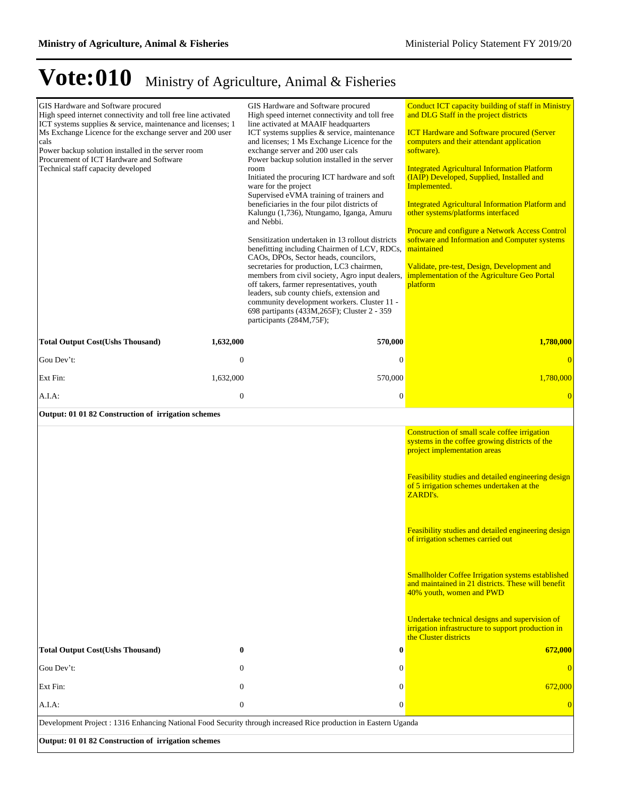| GIS Hardware and Software procured<br>High speed internet connectivity and toll free line activated<br>ICT systems supplies & service, maintenance and licenses; 1<br>Ms Exchange Licence for the exchange server and 200 user<br>cals<br>Power backup solution installed in the server room<br>Procurement of ICT Hardware and Software<br>Technical staff capacity developed<br><b>Total Output Cost(Ushs Thousand)</b> | 1,632,000        | GIS Hardware and Software procured<br>High speed internet connectivity and toll free<br>line activated at MAAIF headquarters<br>ICT systems supplies & service, maintenance<br>and licenses; 1 Ms Exchange Licence for the<br>exchange server and 200 user cals<br>Power backup solution installed in the server<br>room<br>Initiated the procuring ICT hardware and soft<br>ware for the project<br>Supervised eVMA training of trainers and<br>beneficiaries in the four pilot districts of<br>Kalungu (1,736), Ntungamo, Iganga, Amuru<br>and Nebbi.<br>Sensitization undertaken in 13 rollout districts<br>benefitting including Chairmen of LCV, RDCs,<br>CAOs, DPOs, Sector heads, councilors,<br>secretaries for production, LC3 chairmen,<br>members from civil society, Agro input dealers,<br>off takers, farmer representatives, youth<br>leaders, sub county chiefs, extension and<br>community development workers. Cluster 11 -<br>698 partipants (433M, 265F); Cluster 2 - 359<br>participants (284M,75F);<br>570,000 | Conduct ICT capacity building of staff in Ministry<br>and DLG Staff in the project districts<br><b>ICT Hardware and Software procured (Server</b><br>computers and their attendant application<br>software).<br><b>Integrated Agricultural Information Platform</b><br>(IAIP) Developed, Supplied, Installed and<br>Implemented.<br><b>Integrated Agricultural Information Platform and</b><br>other systems/platforms interfaced<br>Procure and configure a Network Access Control<br>software and Information and Computer systems<br>maintained<br>Validate, pre-test, Design, Development and<br>implementation of the Agriculture Geo Portal<br>platform<br>1,780,000 |  |
|---------------------------------------------------------------------------------------------------------------------------------------------------------------------------------------------------------------------------------------------------------------------------------------------------------------------------------------------------------------------------------------------------------------------------|------------------|--------------------------------------------------------------------------------------------------------------------------------------------------------------------------------------------------------------------------------------------------------------------------------------------------------------------------------------------------------------------------------------------------------------------------------------------------------------------------------------------------------------------------------------------------------------------------------------------------------------------------------------------------------------------------------------------------------------------------------------------------------------------------------------------------------------------------------------------------------------------------------------------------------------------------------------------------------------------------------------------------------------------------------------|----------------------------------------------------------------------------------------------------------------------------------------------------------------------------------------------------------------------------------------------------------------------------------------------------------------------------------------------------------------------------------------------------------------------------------------------------------------------------------------------------------------------------------------------------------------------------------------------------------------------------------------------------------------------------|--|
| Gou Dev't:                                                                                                                                                                                                                                                                                                                                                                                                                | $\mathbf{0}$     | $\mathbf{0}$                                                                                                                                                                                                                                                                                                                                                                                                                                                                                                                                                                                                                                                                                                                                                                                                                                                                                                                                                                                                                         | $\overline{0}$                                                                                                                                                                                                                                                                                                                                                                                                                                                                                                                                                                                                                                                             |  |
| Ext Fin:                                                                                                                                                                                                                                                                                                                                                                                                                  | 1,632,000        | 570,000                                                                                                                                                                                                                                                                                                                                                                                                                                                                                                                                                                                                                                                                                                                                                                                                                                                                                                                                                                                                                              | 1,780,000                                                                                                                                                                                                                                                                                                                                                                                                                                                                                                                                                                                                                                                                  |  |
| A.I.A:                                                                                                                                                                                                                                                                                                                                                                                                                    | $\mathbf{0}$     | $\boldsymbol{0}$                                                                                                                                                                                                                                                                                                                                                                                                                                                                                                                                                                                                                                                                                                                                                                                                                                                                                                                                                                                                                     | $\overline{0}$                                                                                                                                                                                                                                                                                                                                                                                                                                                                                                                                                                                                                                                             |  |
| Output: 01 01 82 Construction of irrigation schemes                                                                                                                                                                                                                                                                                                                                                                       |                  |                                                                                                                                                                                                                                                                                                                                                                                                                                                                                                                                                                                                                                                                                                                                                                                                                                                                                                                                                                                                                                      |                                                                                                                                                                                                                                                                                                                                                                                                                                                                                                                                                                                                                                                                            |  |
|                                                                                                                                                                                                                                                                                                                                                                                                                           |                  |                                                                                                                                                                                                                                                                                                                                                                                                                                                                                                                                                                                                                                                                                                                                                                                                                                                                                                                                                                                                                                      | Construction of small scale coffee irrigation<br>systems in the coffee growing districts of the<br>project implementation areas<br>Feasibility studies and detailed engineering design<br>of 5 irrigation schemes undertaken at the<br>ZARDI's.<br>Feasibility studies and detailed engineering design<br>of irrigation schemes carried out<br><b>Smallholder Coffee Irrigation systems established</b><br>and maintained in 21 districts. These will benefit<br>40% youth, women and PWD<br>Undertake technical designs and supervision of<br>irrigation infrastructure to support production in<br>the Cluster districts                                                 |  |
| <b>Total Output Cost(Ushs Thousand)</b>                                                                                                                                                                                                                                                                                                                                                                                   | $\bf{0}$         | 0                                                                                                                                                                                                                                                                                                                                                                                                                                                                                                                                                                                                                                                                                                                                                                                                                                                                                                                                                                                                                                    | 672,000                                                                                                                                                                                                                                                                                                                                                                                                                                                                                                                                                                                                                                                                    |  |
| Gou Dev't:                                                                                                                                                                                                                                                                                                                                                                                                                | $\mathbf{0}$     | $\boldsymbol{0}$                                                                                                                                                                                                                                                                                                                                                                                                                                                                                                                                                                                                                                                                                                                                                                                                                                                                                                                                                                                                                     | $\left 0\right\rangle$                                                                                                                                                                                                                                                                                                                                                                                                                                                                                                                                                                                                                                                     |  |
| Ext Fin:                                                                                                                                                                                                                                                                                                                                                                                                                  | $\mathbf{0}$     | $\boldsymbol{0}$                                                                                                                                                                                                                                                                                                                                                                                                                                                                                                                                                                                                                                                                                                                                                                                                                                                                                                                                                                                                                     | 672,000                                                                                                                                                                                                                                                                                                                                                                                                                                                                                                                                                                                                                                                                    |  |
| A.I.A.                                                                                                                                                                                                                                                                                                                                                                                                                    | $\boldsymbol{0}$ | $\overline{0}$                                                                                                                                                                                                                                                                                                                                                                                                                                                                                                                                                                                                                                                                                                                                                                                                                                                                                                                                                                                                                       | $\overline{0}$                                                                                                                                                                                                                                                                                                                                                                                                                                                                                                                                                                                                                                                             |  |
| Development Project : 1316 Enhancing National Food Security through increased Rice production in Eastern Uganda<br>Output: 01 01 82 Construction of irrigation schemes                                                                                                                                                                                                                                                    |                  |                                                                                                                                                                                                                                                                                                                                                                                                                                                                                                                                                                                                                                                                                                                                                                                                                                                                                                                                                                                                                                      |                                                                                                                                                                                                                                                                                                                                                                                                                                                                                                                                                                                                                                                                            |  |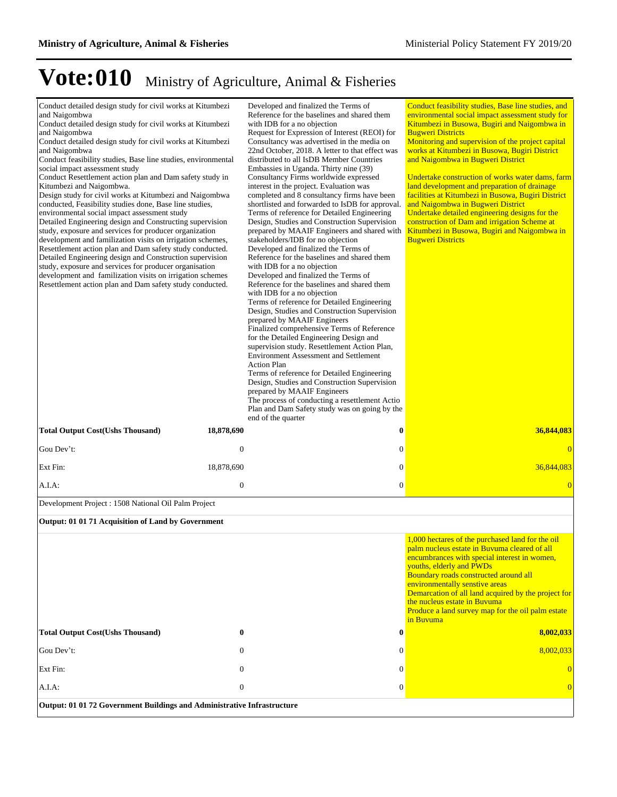| Conduct detailed design study for civil works at Kitumbezi<br>and Naigombwa<br>Conduct detailed design study for civil works at Kitumbezi<br>and Naigombwa<br>Conduct detailed design study for civil works at Kitumbezi<br>and Naigombwa<br>Conduct feasibility studies, Base line studies, environmental<br>social impact assessment study<br>Conduct Resettlement action plan and Dam safety study in<br>Kitumbezi and Naigombwa.<br>Design study for civil works at Kitumbezi and Naigombwa<br>conducted, Feasibility studies done, Base line studies,<br>environmental social impact assessment study<br>Detailed Engineering design and Constructing supervision<br>study, exposure and services for producer organization<br>development and familization visits on irrigation schemes,<br>Resettlement action plan and Dam safety study conducted.<br>Detailed Engineering design and Construction supervision<br>study, exposure and services for producer organisation<br>development and familization visits on irrigation schemes<br>Resettlement action plan and Dam safety study conducted. |              | Developed and finalized the Terms of<br>Reference for the baselines and shared them<br>with IDB for a no objection<br>Request for Expression of Interest (REOI) for<br>Consultancy was advertised in the media on<br>22nd October, 2018. A letter to that effect was<br>distributed to all IsDB Member Countries<br>Embassies in Uganda. Thirty nine (39)<br>Consultancy Firms worldwide expressed<br>interest in the project. Evaluation was<br>completed and 8 consultancy firms have been<br>shortlisted and forwarded to IsDB for approval.<br>Terms of reference for Detailed Engineering<br>Design, Studies and Construction Supervision<br>prepared by MAAIF Engineers and shared with<br>stakeholders/IDB for no objection<br>Developed and finalized the Terms of<br>Reference for the baselines and shared them<br>with IDB for a no objection<br>Developed and finalized the Terms of<br>Reference for the baselines and shared them<br>with IDB for a no objection<br>Terms of reference for Detailed Engineering<br>Design, Studies and Construction Supervision<br>prepared by MAAIF Engineers<br>Finalized comprehensive Terms of Reference<br>for the Detailed Engineering Design and<br>supervision study. Resettlement Action Plan,<br><b>Environment Assessment and Settlement</b><br><b>Action Plan</b><br>Terms of reference for Detailed Engineering<br>Design, Studies and Construction Supervision<br>prepared by MAAIF Engineers<br>The process of conducting a resettlement Actio<br>Plan and Dam Safety study was on going by the<br>end of the quarter | Conduct feasibility studies, Base line studies, and<br>environmental social impact assessment study for<br>Kitumbezi in Busowa, Bugiri and Naigombwa in<br><b>Bugweri Districts</b><br>Monitoring and supervision of the project capital<br>works at Kitumbezi in Busowa, Bugiri District<br>and Naigombwa in Bugweri District<br>Undertake construction of works water dams, farm<br>land development and preparation of drainage<br>facilities at Kitumbezi in Busowa, Bugiri District<br>and Naigombwa in Bugweri District<br>Undertake detailed engineering designs for the<br>construction of Dam and irrigation Scheme at<br>Kitumbezi in Busowa, Bugiri and Naigombwa in<br><b>Bugweri Districts</b> |
|-----------------------------------------------------------------------------------------------------------------------------------------------------------------------------------------------------------------------------------------------------------------------------------------------------------------------------------------------------------------------------------------------------------------------------------------------------------------------------------------------------------------------------------------------------------------------------------------------------------------------------------------------------------------------------------------------------------------------------------------------------------------------------------------------------------------------------------------------------------------------------------------------------------------------------------------------------------------------------------------------------------------------------------------------------------------------------------------------------------|--------------|------------------------------------------------------------------------------------------------------------------------------------------------------------------------------------------------------------------------------------------------------------------------------------------------------------------------------------------------------------------------------------------------------------------------------------------------------------------------------------------------------------------------------------------------------------------------------------------------------------------------------------------------------------------------------------------------------------------------------------------------------------------------------------------------------------------------------------------------------------------------------------------------------------------------------------------------------------------------------------------------------------------------------------------------------------------------------------------------------------------------------------------------------------------------------------------------------------------------------------------------------------------------------------------------------------------------------------------------------------------------------------------------------------------------------------------------------------------------------------------------------------------------------------------------------------------------------------|-------------------------------------------------------------------------------------------------------------------------------------------------------------------------------------------------------------------------------------------------------------------------------------------------------------------------------------------------------------------------------------------------------------------------------------------------------------------------------------------------------------------------------------------------------------------------------------------------------------------------------------------------------------------------------------------------------------|
| <b>Total Output Cost(Ushs Thousand)</b>                                                                                                                                                                                                                                                                                                                                                                                                                                                                                                                                                                                                                                                                                                                                                                                                                                                                                                                                                                                                                                                                   | 18,878,690   | $\bf{0}$                                                                                                                                                                                                                                                                                                                                                                                                                                                                                                                                                                                                                                                                                                                                                                                                                                                                                                                                                                                                                                                                                                                                                                                                                                                                                                                                                                                                                                                                                                                                                                           | 36,844,083                                                                                                                                                                                                                                                                                                                                                                                                                                                                                                                                                                                                                                                                                                  |
| Gou Dev't:                                                                                                                                                                                                                                                                                                                                                                                                                                                                                                                                                                                                                                                                                                                                                                                                                                                                                                                                                                                                                                                                                                | $\mathbf{0}$ | $\boldsymbol{0}$                                                                                                                                                                                                                                                                                                                                                                                                                                                                                                                                                                                                                                                                                                                                                                                                                                                                                                                                                                                                                                                                                                                                                                                                                                                                                                                                                                                                                                                                                                                                                                   | $\overline{0}$                                                                                                                                                                                                                                                                                                                                                                                                                                                                                                                                                                                                                                                                                              |
| Ext Fin:                                                                                                                                                                                                                                                                                                                                                                                                                                                                                                                                                                                                                                                                                                                                                                                                                                                                                                                                                                                                                                                                                                  | 18,878,690   | $\boldsymbol{0}$                                                                                                                                                                                                                                                                                                                                                                                                                                                                                                                                                                                                                                                                                                                                                                                                                                                                                                                                                                                                                                                                                                                                                                                                                                                                                                                                                                                                                                                                                                                                                                   | 36,844,083                                                                                                                                                                                                                                                                                                                                                                                                                                                                                                                                                                                                                                                                                                  |
| A.I.A:                                                                                                                                                                                                                                                                                                                                                                                                                                                                                                                                                                                                                                                                                                                                                                                                                                                                                                                                                                                                                                                                                                    | $\mathbf{0}$ | $\mathbf{0}$                                                                                                                                                                                                                                                                                                                                                                                                                                                                                                                                                                                                                                                                                                                                                                                                                                                                                                                                                                                                                                                                                                                                                                                                                                                                                                                                                                                                                                                                                                                                                                       | $\overline{0}$                                                                                                                                                                                                                                                                                                                                                                                                                                                                                                                                                                                                                                                                                              |
| Development Project : 1508 National Oil Palm Project                                                                                                                                                                                                                                                                                                                                                                                                                                                                                                                                                                                                                                                                                                                                                                                                                                                                                                                                                                                                                                                      |              |                                                                                                                                                                                                                                                                                                                                                                                                                                                                                                                                                                                                                                                                                                                                                                                                                                                                                                                                                                                                                                                                                                                                                                                                                                                                                                                                                                                                                                                                                                                                                                                    |                                                                                                                                                                                                                                                                                                                                                                                                                                                                                                                                                                                                                                                                                                             |
| Output: 01 01 71 Acquisition of Land by Government                                                                                                                                                                                                                                                                                                                                                                                                                                                                                                                                                                                                                                                                                                                                                                                                                                                                                                                                                                                                                                                        |              |                                                                                                                                                                                                                                                                                                                                                                                                                                                                                                                                                                                                                                                                                                                                                                                                                                                                                                                                                                                                                                                                                                                                                                                                                                                                                                                                                                                                                                                                                                                                                                                    |                                                                                                                                                                                                                                                                                                                                                                                                                                                                                                                                                                                                                                                                                                             |
|                                                                                                                                                                                                                                                                                                                                                                                                                                                                                                                                                                                                                                                                                                                                                                                                                                                                                                                                                                                                                                                                                                           |              |                                                                                                                                                                                                                                                                                                                                                                                                                                                                                                                                                                                                                                                                                                                                                                                                                                                                                                                                                                                                                                                                                                                                                                                                                                                                                                                                                                                                                                                                                                                                                                                    | 1,000 hectares of the purchased land for the oil<br>palm nucleus estate in Buvuma cleared of all<br>encumbrances with special interest in women,<br>youths, elderly and PWDs<br>Boundary roads constructed around all<br>environmentally senstive areas<br>Demarcation of all land acquired by the project for<br>the nucleus estate in Buvuma<br>Produce a land survey map for the oil palm estate<br>in Buvuma                                                                                                                                                                                                                                                                                            |
| <b>Total Output Cost(Ushs Thousand)</b>                                                                                                                                                                                                                                                                                                                                                                                                                                                                                                                                                                                                                                                                                                                                                                                                                                                                                                                                                                                                                                                                   | $\bf{0}$     | $\bf{0}$                                                                                                                                                                                                                                                                                                                                                                                                                                                                                                                                                                                                                                                                                                                                                                                                                                                                                                                                                                                                                                                                                                                                                                                                                                                                                                                                                                                                                                                                                                                                                                           | 8,002,033                                                                                                                                                                                                                                                                                                                                                                                                                                                                                                                                                                                                                                                                                                   |
| Gou Dev't:                                                                                                                                                                                                                                                                                                                                                                                                                                                                                                                                                                                                                                                                                                                                                                                                                                                                                                                                                                                                                                                                                                | $\mathbf{0}$ | $\mathbf{0}$                                                                                                                                                                                                                                                                                                                                                                                                                                                                                                                                                                                                                                                                                                                                                                                                                                                                                                                                                                                                                                                                                                                                                                                                                                                                                                                                                                                                                                                                                                                                                                       | 8,002,033                                                                                                                                                                                                                                                                                                                                                                                                                                                                                                                                                                                                                                                                                                   |
| Ext Fin:                                                                                                                                                                                                                                                                                                                                                                                                                                                                                                                                                                                                                                                                                                                                                                                                                                                                                                                                                                                                                                                                                                  | $\mathbf{0}$ | $\mathbf{0}$                                                                                                                                                                                                                                                                                                                                                                                                                                                                                                                                                                                                                                                                                                                                                                                                                                                                                                                                                                                                                                                                                                                                                                                                                                                                                                                                                                                                                                                                                                                                                                       | $\theta$                                                                                                                                                                                                                                                                                                                                                                                                                                                                                                                                                                                                                                                                                                    |
| A.I.A.                                                                                                                                                                                                                                                                                                                                                                                                                                                                                                                                                                                                                                                                                                                                                                                                                                                                                                                                                                                                                                                                                                    | $\mathbf{0}$ | $\mathbf{0}$                                                                                                                                                                                                                                                                                                                                                                                                                                                                                                                                                                                                                                                                                                                                                                                                                                                                                                                                                                                                                                                                                                                                                                                                                                                                                                                                                                                                                                                                                                                                                                       | $\Omega$                                                                                                                                                                                                                                                                                                                                                                                                                                                                                                                                                                                                                                                                                                    |
| Output: 01 01 72 Government Buildings and Administrative Infrastructure                                                                                                                                                                                                                                                                                                                                                                                                                                                                                                                                                                                                                                                                                                                                                                                                                                                                                                                                                                                                                                   |              |                                                                                                                                                                                                                                                                                                                                                                                                                                                                                                                                                                                                                                                                                                                                                                                                                                                                                                                                                                                                                                                                                                                                                                                                                                                                                                                                                                                                                                                                                                                                                                                    |                                                                                                                                                                                                                                                                                                                                                                                                                                                                                                                                                                                                                                                                                                             |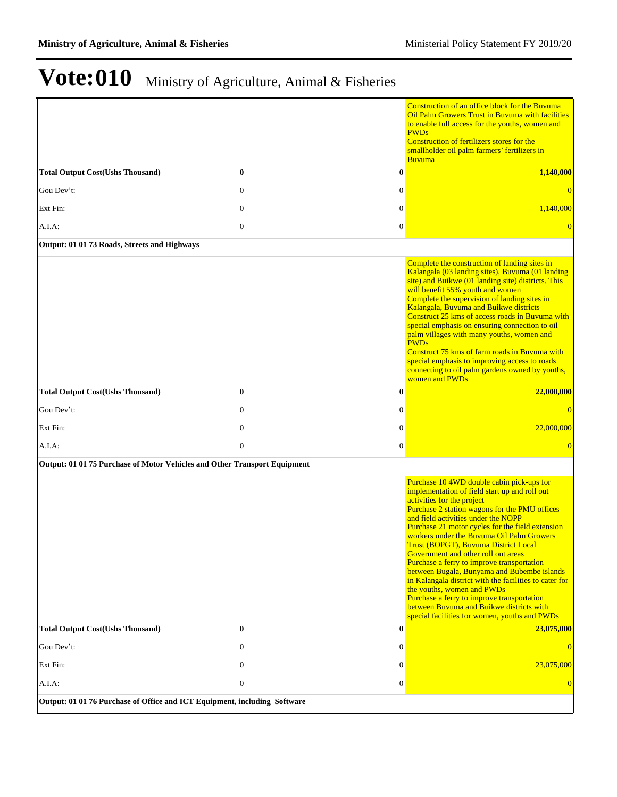|                                                                           |                |                  | Construction of an office block for the Buvuma<br>Oil Palm Growers Trust in Buvuma with facilities<br>to enable full access for the youths, women and<br><b>PWDs</b>                                                                                                                                                                                                                                                                                                                                                                                                                                                                                                                                                             |
|---------------------------------------------------------------------------|----------------|------------------|----------------------------------------------------------------------------------------------------------------------------------------------------------------------------------------------------------------------------------------------------------------------------------------------------------------------------------------------------------------------------------------------------------------------------------------------------------------------------------------------------------------------------------------------------------------------------------------------------------------------------------------------------------------------------------------------------------------------------------|
|                                                                           |                |                  | Construction of fertilizers stores for the<br>smallholder oil palm farmers' fertilizers in<br><b>Buvuma</b>                                                                                                                                                                                                                                                                                                                                                                                                                                                                                                                                                                                                                      |
| <b>Total Output Cost(Ushs Thousand)</b>                                   | $\bf{0}$       | $\bf{0}$         | 1,140,000                                                                                                                                                                                                                                                                                                                                                                                                                                                                                                                                                                                                                                                                                                                        |
| Gou Dev't:                                                                | $\theta$       | $\theta$         | $\overline{0}$                                                                                                                                                                                                                                                                                                                                                                                                                                                                                                                                                                                                                                                                                                                   |
| Ext Fin:                                                                  | $\mathbf{0}$   | $\mathbf{0}$     | 1,140,000                                                                                                                                                                                                                                                                                                                                                                                                                                                                                                                                                                                                                                                                                                                        |
| A.I.A.                                                                    | $\mathbf{0}$   | $\boldsymbol{0}$ | $\overline{0}$                                                                                                                                                                                                                                                                                                                                                                                                                                                                                                                                                                                                                                                                                                                   |
| Output: 01 01 73 Roads, Streets and Highways                              |                |                  |                                                                                                                                                                                                                                                                                                                                                                                                                                                                                                                                                                                                                                                                                                                                  |
|                                                                           |                |                  | Complete the construction of landing sites in<br>Kalangala (03 landing sites), Buvuma (01 landing<br>site) and Buikwe (01 landing site) districts. This<br>will benefit 55% youth and women<br>Complete the supervision of landing sites in<br>Kalangala, Buvuma and Buikwe districts<br>Construct 25 kms of access roads in Buyuma with<br>special emphasis on ensuring connection to oil<br>palm villages with many youths, women and<br><b>PWDs</b><br>Construct 75 kms of farm roads in Buyuma with<br>special emphasis to improving access to roads<br>connecting to oil palm gardens owned by youths,<br>women and PWDs                                                                                                    |
| <b>Total Output Cost(Ushs Thousand)</b>                                   | $\bf{0}$       | 0                | 22,000,000                                                                                                                                                                                                                                                                                                                                                                                                                                                                                                                                                                                                                                                                                                                       |
| Gou Dev't:                                                                | $\theta$       | $\boldsymbol{0}$ | $\overline{0}$                                                                                                                                                                                                                                                                                                                                                                                                                                                                                                                                                                                                                                                                                                                   |
| Ext Fin:                                                                  | $\mathbf{0}$   | $\mathbf{0}$     | 22,000,000                                                                                                                                                                                                                                                                                                                                                                                                                                                                                                                                                                                                                                                                                                                       |
| $A.I.A$ :                                                                 | $\mathbf{0}$   | $\overline{0}$   | $\overline{0}$                                                                                                                                                                                                                                                                                                                                                                                                                                                                                                                                                                                                                                                                                                                   |
| Output: 01 01 75 Purchase of Motor Vehicles and Other Transport Equipment |                |                  |                                                                                                                                                                                                                                                                                                                                                                                                                                                                                                                                                                                                                                                                                                                                  |
|                                                                           |                |                  | Purchase 10 4WD double cabin pick-ups for<br>implementation of field start up and roll out<br>activities for the project<br>Purchase 2 station wagons for the PMU offices<br>and field activities under the NOPP<br>Purchase 21 motor cycles for the field extension<br>workers under the Buvuma Oil Palm Growers<br>Trust (BOPGT), Buvuma District Local<br>Government and other roll out areas<br>Purchase a ferry to improve transportation<br>between Bugala, Bunyama and Bubembe islands<br>in Kalangala district with the facilities to cater for<br>the youths, women and PWDs<br>Purchase a ferry to improve transportation<br>between Buvuma and Buikwe districts with<br>special facilities for women, youths and PWDs |
| <b>Total Output Cost(Ushs Thousand)</b>                                   | $\bf{0}$       | $\bf{0}$         | 23,075,000                                                                                                                                                                                                                                                                                                                                                                                                                                                                                                                                                                                                                                                                                                                       |
| Gou Dev't:                                                                | $\theta$       | $\theta$         | $\theta$                                                                                                                                                                                                                                                                                                                                                                                                                                                                                                                                                                                                                                                                                                                         |
| Ext Fin:                                                                  | $\overline{0}$ | $\overline{0}$   | 23,075,000                                                                                                                                                                                                                                                                                                                                                                                                                                                                                                                                                                                                                                                                                                                       |
| A.I.A:                                                                    | $\mathbf{0}$   | $\overline{0}$   | $\overline{0}$                                                                                                                                                                                                                                                                                                                                                                                                                                                                                                                                                                                                                                                                                                                   |
| Output: 01 01 76 Purchase of Office and ICT Equipment, including Software |                |                  |                                                                                                                                                                                                                                                                                                                                                                                                                                                                                                                                                                                                                                                                                                                                  |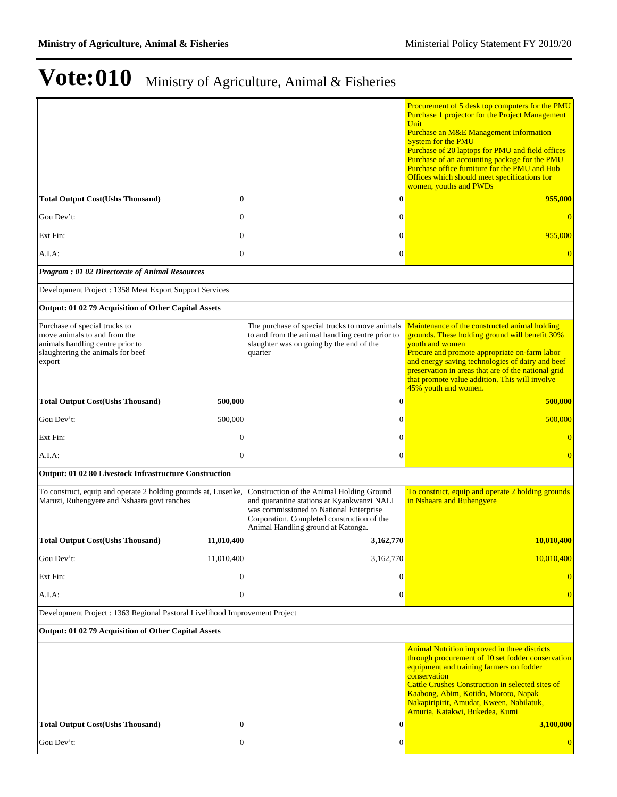|                                                                                                                                                         |                  |                                                                                                                                                                           | Procurement of 5 desk top computers for the PMU<br>Purchase 1 projector for the Project Management<br>Unit<br><b>Purchase an M&amp;E Management Information</b><br><b>System for the PMU</b><br>Purchase of 20 laptops for PMU and field offices<br>Purchase of an accounting package for the PMU<br>Purchase office furniture for the PMU and Hub<br>Offices which should meet specifications for<br>women, youths and PWDs |
|---------------------------------------------------------------------------------------------------------------------------------------------------------|------------------|---------------------------------------------------------------------------------------------------------------------------------------------------------------------------|------------------------------------------------------------------------------------------------------------------------------------------------------------------------------------------------------------------------------------------------------------------------------------------------------------------------------------------------------------------------------------------------------------------------------|
| <b>Total Output Cost(Ushs Thousand)</b>                                                                                                                 | $\bf{0}$         |                                                                                                                                                                           | $\boldsymbol{0}$<br>955,000                                                                                                                                                                                                                                                                                                                                                                                                  |
| Gou Dev't:                                                                                                                                              | $\mathbf{0}$     |                                                                                                                                                                           | $\mathbf{0}$                                                                                                                                                                                                                                                                                                                                                                                                                 |
| Ext Fin:                                                                                                                                                | $\mathbf{0}$     |                                                                                                                                                                           | $\boldsymbol{0}$<br>955,000                                                                                                                                                                                                                                                                                                                                                                                                  |
| A.I.A.                                                                                                                                                  | $\mathbf{0}$     |                                                                                                                                                                           | $\boldsymbol{0}$<br>$\overline{0}$                                                                                                                                                                                                                                                                                                                                                                                           |
| <b>Program : 01 02 Directorate of Animal Resources</b>                                                                                                  |                  |                                                                                                                                                                           |                                                                                                                                                                                                                                                                                                                                                                                                                              |
| Development Project : 1358 Meat Export Support Services                                                                                                 |                  |                                                                                                                                                                           |                                                                                                                                                                                                                                                                                                                                                                                                                              |
| Output: 01 02 79 Acquisition of Other Capital Assets                                                                                                    |                  |                                                                                                                                                                           |                                                                                                                                                                                                                                                                                                                                                                                                                              |
| Purchase of special trucks to<br>move animals to and from the<br>animals handling centre prior to<br>slaughtering the animals for beef<br>export        |                  | The purchase of special trucks to move animals<br>to and from the animal handling centre prior to<br>slaughter was on going by the end of the<br>quarter                  | Maintenance of the constructed animal holding<br>grounds. These holding ground will benefit 30%<br>youth and women<br>Procure and promote appropriate on-farm labor<br>and energy saving technologies of dairy and beef<br>preservation in areas that are of the national grid<br>that promote value addition. This will involve<br>45% youth and women.                                                                     |
| <b>Total Output Cost(Ushs Thousand)</b>                                                                                                                 | 500,000          |                                                                                                                                                                           | $\bf{0}$<br>500,000                                                                                                                                                                                                                                                                                                                                                                                                          |
| Gou Dev't:                                                                                                                                              | 500,000          |                                                                                                                                                                           | 500,000<br>$\mathbf{0}$                                                                                                                                                                                                                                                                                                                                                                                                      |
| Ext Fin:                                                                                                                                                | $\mathbf{0}$     |                                                                                                                                                                           | $\mathbf{0}$<br>$\overline{0}$                                                                                                                                                                                                                                                                                                                                                                                               |
| $A.I.A$ :                                                                                                                                               | $\mathbf{0}$     |                                                                                                                                                                           | $\overline{0}$<br>$\overline{0}$                                                                                                                                                                                                                                                                                                                                                                                             |
| Output: 01 02 80 Livestock Infrastructure Construction                                                                                                  |                  |                                                                                                                                                                           |                                                                                                                                                                                                                                                                                                                                                                                                                              |
| To construct, equip and operate 2 holding grounds at, Lusenke, Construction of the Animal Holding Ground<br>Maruzi, Ruhengyere and Nshaara govt ranches |                  | and quarantine stations at Kyankwanzi NALI<br>was commissioned to National Enterprise<br>Corporation. Completed construction of the<br>Animal Handling ground at Katonga. | To construct, equip and operate 2 holding grounds<br>in Nshaara and Ruhengyere                                                                                                                                                                                                                                                                                                                                               |
| <b>Total Output Cost(Ushs Thousand)</b>                                                                                                                 | 11,010,400       | 3,162,770                                                                                                                                                                 | 10,010,400                                                                                                                                                                                                                                                                                                                                                                                                                   |
| Gou Dev't:                                                                                                                                              | 11,010,400       | 3,162,770                                                                                                                                                                 | 10,010,400                                                                                                                                                                                                                                                                                                                                                                                                                   |
| Ext Fin:                                                                                                                                                | $\mathbf{0}$     |                                                                                                                                                                           | $\mathbf{0}$<br>$\bf{0}$                                                                                                                                                                                                                                                                                                                                                                                                     |
| $A.I.A$ :                                                                                                                                               | $\boldsymbol{0}$ |                                                                                                                                                                           | $\boldsymbol{0}$<br>$\Omega$                                                                                                                                                                                                                                                                                                                                                                                                 |
| Development Project : 1363 Regional Pastoral Livelihood Improvement Project                                                                             |                  |                                                                                                                                                                           |                                                                                                                                                                                                                                                                                                                                                                                                                              |
| Output: 01 02 79 Acquisition of Other Capital Assets                                                                                                    |                  |                                                                                                                                                                           |                                                                                                                                                                                                                                                                                                                                                                                                                              |
|                                                                                                                                                         |                  |                                                                                                                                                                           | <b>Animal Nutrition improved in three districts</b><br>through procurement of 10 set fodder conservation<br>equipment and training farmers on fodder<br>conservation<br><b>Cattle Crushes Construction in selected sites of</b><br>Kaabong, Abim, Kotido, Moroto, Napak<br>Nakapiripirit, Amudat, Kween, Nabilatuk,<br>Amuria, Katakwi, Bukedea, Kumi                                                                        |
| <b>Total Output Cost(Ushs Thousand)</b>                                                                                                                 | $\bf{0}$         |                                                                                                                                                                           | $\bf{0}$<br>3,100,000                                                                                                                                                                                                                                                                                                                                                                                                        |
| Gou Dev't:                                                                                                                                              | $\boldsymbol{0}$ |                                                                                                                                                                           | 0<br>$\Omega$                                                                                                                                                                                                                                                                                                                                                                                                                |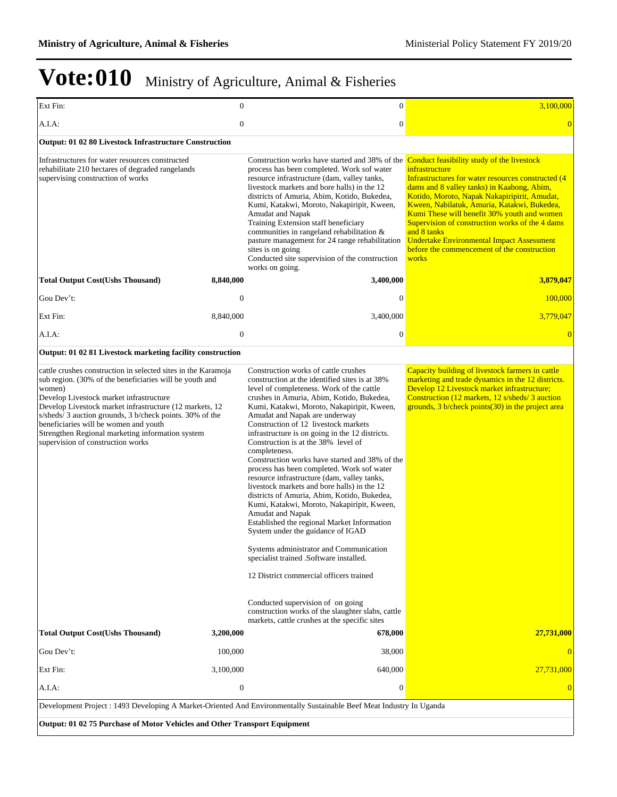| Ext Fin:                                                                                                                                                                                                                                                                                                                                                                                                                              | $\mathbf{0}$                                                              | $\boldsymbol{0}$                                                                                                                                                                                                                                                                                                                                                                                                                                                                                                                                                                                                                                                                                                                                                                                                                                                                                                                                                                            | 3,100,000                                                                                                                                                                                                                                                                                                                                                                                                                                                                                    |  |  |  |
|---------------------------------------------------------------------------------------------------------------------------------------------------------------------------------------------------------------------------------------------------------------------------------------------------------------------------------------------------------------------------------------------------------------------------------------|---------------------------------------------------------------------------|---------------------------------------------------------------------------------------------------------------------------------------------------------------------------------------------------------------------------------------------------------------------------------------------------------------------------------------------------------------------------------------------------------------------------------------------------------------------------------------------------------------------------------------------------------------------------------------------------------------------------------------------------------------------------------------------------------------------------------------------------------------------------------------------------------------------------------------------------------------------------------------------------------------------------------------------------------------------------------------------|----------------------------------------------------------------------------------------------------------------------------------------------------------------------------------------------------------------------------------------------------------------------------------------------------------------------------------------------------------------------------------------------------------------------------------------------------------------------------------------------|--|--|--|
| A.I.A.                                                                                                                                                                                                                                                                                                                                                                                                                                | $\boldsymbol{0}$                                                          | $\boldsymbol{0}$                                                                                                                                                                                                                                                                                                                                                                                                                                                                                                                                                                                                                                                                                                                                                                                                                                                                                                                                                                            | $\overline{0}$                                                                                                                                                                                                                                                                                                                                                                                                                                                                               |  |  |  |
| Output: 01 02 80 Livestock Infrastructure Construction                                                                                                                                                                                                                                                                                                                                                                                |                                                                           |                                                                                                                                                                                                                                                                                                                                                                                                                                                                                                                                                                                                                                                                                                                                                                                                                                                                                                                                                                                             |                                                                                                                                                                                                                                                                                                                                                                                                                                                                                              |  |  |  |
| Infrastructures for water resources constructed<br>rehabilitate 210 hectares of degraded rangelands<br>supervising construction of works                                                                                                                                                                                                                                                                                              |                                                                           | Construction works have started and 38% of the<br>process has been completed. Work sof water<br>resource infrastructure (dam, valley tanks,<br>livestock markets and bore halls) in the 12<br>districts of Amuria, Abim, Kotido, Bukedea,<br>Kumi, Katakwi, Moroto, Nakapiripit, Kween,<br>Amudat and Napak<br>Training Extension staff beneficiary<br>communities in rangeland rehabilitation &<br>pasture management for 24 range rehabilitation<br>sites is on going<br>Conducted site supervision of the construction<br>works on going.                                                                                                                                                                                                                                                                                                                                                                                                                                                | Conduct feasibility study of the livestock<br>infrastructure<br>Infrastructures for water resources constructed (4<br>dams and 8 valley tanks) in Kaabong, Abim,<br>Kotido, Moroto, Napak Nakapiripirit, Amudat,<br>Kween, Nabilatuk, Amuria, Katakwi, Bukedea,<br>Kumi These will benefit 30% youth and women<br>Supervision of construction works of the 4 dams<br>and 8 tanks<br><b>Undertake Environmental Impact Assessment</b><br>before the commencement of the construction<br>works |  |  |  |
| <b>Total Output Cost(Ushs Thousand)</b>                                                                                                                                                                                                                                                                                                                                                                                               | 8,840,000                                                                 | 3,400,000                                                                                                                                                                                                                                                                                                                                                                                                                                                                                                                                                                                                                                                                                                                                                                                                                                                                                                                                                                                   | 3,879,047                                                                                                                                                                                                                                                                                                                                                                                                                                                                                    |  |  |  |
| Gou Dev't:                                                                                                                                                                                                                                                                                                                                                                                                                            | $\mathbf{0}$                                                              | $\overline{0}$                                                                                                                                                                                                                                                                                                                                                                                                                                                                                                                                                                                                                                                                                                                                                                                                                                                                                                                                                                              | 100,000                                                                                                                                                                                                                                                                                                                                                                                                                                                                                      |  |  |  |
| Ext Fin:                                                                                                                                                                                                                                                                                                                                                                                                                              | 8,840,000                                                                 | 3,400,000                                                                                                                                                                                                                                                                                                                                                                                                                                                                                                                                                                                                                                                                                                                                                                                                                                                                                                                                                                                   | 3,779,047                                                                                                                                                                                                                                                                                                                                                                                                                                                                                    |  |  |  |
| A.I.A:                                                                                                                                                                                                                                                                                                                                                                                                                                | $\mathbf{0}$                                                              | $\overline{0}$                                                                                                                                                                                                                                                                                                                                                                                                                                                                                                                                                                                                                                                                                                                                                                                                                                                                                                                                                                              | $\overline{0}$                                                                                                                                                                                                                                                                                                                                                                                                                                                                               |  |  |  |
| Output: 01 02 81 Livestock marketing facility construction                                                                                                                                                                                                                                                                                                                                                                            |                                                                           |                                                                                                                                                                                                                                                                                                                                                                                                                                                                                                                                                                                                                                                                                                                                                                                                                                                                                                                                                                                             |                                                                                                                                                                                                                                                                                                                                                                                                                                                                                              |  |  |  |
| cattle crushes construction in selected sites in the Karamoja<br>sub region. (30% of the beneficiaries will be youth and<br>women)<br>Develop Livestock market infrastructure<br>Develop Livestock market infrastructure (12 markets, 12<br>s/sheds/3 auction grounds, 3 b/check points. 30% of the<br>beneficiaries will be women and youth<br>Strengthen Regional marketing information system<br>supervision of construction works |                                                                           | Construction works of cattle crushes<br>construction at the identified sites is at 38%<br>level of completeness. Work of the cattle<br>crushes in Amuria, Abim, Kotido, Bukedea,<br>Kumi, Katakwi, Moroto, Nakapiripit, Kween,<br>Amudat and Napak are underway<br>Construction of 12 livestock markets<br>infrastructure is on going in the 12 districts.<br>Construction is at the 38% level of<br>completeness.<br>Construction works have started and 38% of the<br>process has been completed. Work sof water<br>resource infrastructure (dam, valley tanks,<br>livestock markets and bore halls) in the 12<br>districts of Amuria, Abim, Kotido, Bukedea,<br>Kumi, Katakwi, Moroto, Nakapiripit, Kween,<br>Amudat and Napak<br>Established the regional Market Information<br>System under the guidance of IGAD<br>Systems administrator and Communication<br>specialist trained .Software installed.<br>12 District commercial officers trained<br>Conducted supervision of on going | Capacity building of livestock farmers in cattle<br>marketing and trade dynamics in the 12 districts.<br>Develop 12 Livestock market infrastructure;<br>Construction (12 markets, 12 s/sheds/3 auction<br>grounds, $3$ b/check points $(30)$ in the project area                                                                                                                                                                                                                             |  |  |  |
| <b>Total Output Cost(Ushs Thousand)</b>                                                                                                                                                                                                                                                                                                                                                                                               | 3,200,000                                                                 | construction works of the slaughter slabs, cattle<br>markets, cattle crushes at the specific sites<br>678,000                                                                                                                                                                                                                                                                                                                                                                                                                                                                                                                                                                                                                                                                                                                                                                                                                                                                               | 27,731,000                                                                                                                                                                                                                                                                                                                                                                                                                                                                                   |  |  |  |
| Gou Dev't:                                                                                                                                                                                                                                                                                                                                                                                                                            | 100,000                                                                   | 38,000                                                                                                                                                                                                                                                                                                                                                                                                                                                                                                                                                                                                                                                                                                                                                                                                                                                                                                                                                                                      | $\Omega$                                                                                                                                                                                                                                                                                                                                                                                                                                                                                     |  |  |  |
| Ext Fin:                                                                                                                                                                                                                                                                                                                                                                                                                              | 3,100,000                                                                 | 640,000                                                                                                                                                                                                                                                                                                                                                                                                                                                                                                                                                                                                                                                                                                                                                                                                                                                                                                                                                                                     | 27.731,000                                                                                                                                                                                                                                                                                                                                                                                                                                                                                   |  |  |  |
| A.I.A:                                                                                                                                                                                                                                                                                                                                                                                                                                | $\boldsymbol{0}$                                                          | 0                                                                                                                                                                                                                                                                                                                                                                                                                                                                                                                                                                                                                                                                                                                                                                                                                                                                                                                                                                                           | $\Omega$                                                                                                                                                                                                                                                                                                                                                                                                                                                                                     |  |  |  |
| Development Project : 1493 Developing A Market-Oriented And Environmentally Sustainable Beef Meat Industry In Uganda                                                                                                                                                                                                                                                                                                                  |                                                                           |                                                                                                                                                                                                                                                                                                                                                                                                                                                                                                                                                                                                                                                                                                                                                                                                                                                                                                                                                                                             |                                                                                                                                                                                                                                                                                                                                                                                                                                                                                              |  |  |  |
|                                                                                                                                                                                                                                                                                                                                                                                                                                       | Output: 01 02 75 Purchase of Motor Vehicles and Other Transport Equipment |                                                                                                                                                                                                                                                                                                                                                                                                                                                                                                                                                                                                                                                                                                                                                                                                                                                                                                                                                                                             |                                                                                                                                                                                                                                                                                                                                                                                                                                                                                              |  |  |  |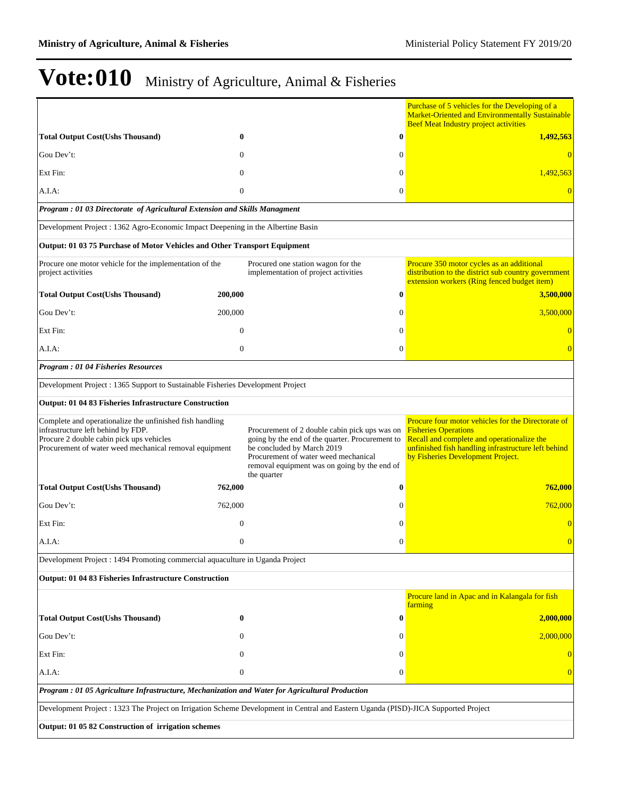|                                                                                                                                                                                                      |                  |                                                                                                                                                                                                                                       |                  | Purchase of 5 vehicles for the Developing of a<br><b>Market-Oriented and Environmentally Sustainable</b><br><b>Beef Meat Industry project activities</b>                                                                    |  |
|------------------------------------------------------------------------------------------------------------------------------------------------------------------------------------------------------|------------------|---------------------------------------------------------------------------------------------------------------------------------------------------------------------------------------------------------------------------------------|------------------|-----------------------------------------------------------------------------------------------------------------------------------------------------------------------------------------------------------------------------|--|
| <b>Total Output Cost(Ushs Thousand)</b>                                                                                                                                                              | 0                |                                                                                                                                                                                                                                       | 0                | 1,492,563                                                                                                                                                                                                                   |  |
| Gou Dev't:                                                                                                                                                                                           | $\Omega$         |                                                                                                                                                                                                                                       | 0                | $\Omega$                                                                                                                                                                                                                    |  |
| Ext Fin:                                                                                                                                                                                             | $\mathbf{0}$     |                                                                                                                                                                                                                                       | $\Omega$         | 1,492,563                                                                                                                                                                                                                   |  |
| $A.I.A$ :                                                                                                                                                                                            | $\mathbf{0}$     |                                                                                                                                                                                                                                       | $\boldsymbol{0}$ | $\overline{0}$                                                                                                                                                                                                              |  |
| Program : 01 03 Directorate of Agricultural Extension and Skills Managment                                                                                                                           |                  |                                                                                                                                                                                                                                       |                  |                                                                                                                                                                                                                             |  |
| Development Project : 1362 Agro-Economic Impact Deepening in the Albertine Basin                                                                                                                     |                  |                                                                                                                                                                                                                                       |                  |                                                                                                                                                                                                                             |  |
| Output: 01 03 75 Purchase of Motor Vehicles and Other Transport Equipment                                                                                                                            |                  |                                                                                                                                                                                                                                       |                  |                                                                                                                                                                                                                             |  |
| Procure one motor vehicle for the implementation of the<br>project activities                                                                                                                        |                  | Procured one station wagon for the<br>implementation of project activities                                                                                                                                                            |                  | Procure 350 motor cycles as an additional<br>distribution to the district sub country government<br>extension workers (Ring fenced budget item)                                                                             |  |
| <b>Total Output Cost(Ushs Thousand)</b>                                                                                                                                                              | 200,000          |                                                                                                                                                                                                                                       | $\bf{0}$         | 3,500,000                                                                                                                                                                                                                   |  |
| Gou Dev't:                                                                                                                                                                                           | 200,000          |                                                                                                                                                                                                                                       | 0                | 3,500,000                                                                                                                                                                                                                   |  |
| Ext Fin:                                                                                                                                                                                             | $\mathbf{0}$     |                                                                                                                                                                                                                                       | $\theta$         | $\overline{0}$                                                                                                                                                                                                              |  |
| A.I.A:                                                                                                                                                                                               | $\mathbf{0}$     |                                                                                                                                                                                                                                       | $\overline{0}$   | $\overline{0}$                                                                                                                                                                                                              |  |
| <b>Program: 01 04 Fisheries Resources</b>                                                                                                                                                            |                  |                                                                                                                                                                                                                                       |                  |                                                                                                                                                                                                                             |  |
| Development Project : 1365 Support to Sustainable Fisheries Development Project                                                                                                                      |                  |                                                                                                                                                                                                                                       |                  |                                                                                                                                                                                                                             |  |
| Output: 01 04 83 Fisheries Infrastructure Construction                                                                                                                                               |                  |                                                                                                                                                                                                                                       |                  |                                                                                                                                                                                                                             |  |
| Complete and operationalize the unfinished fish handling<br>infrastructure left behind by FDP.<br>Procure 2 double cabin pick ups vehicles<br>Procurement of water weed mechanical removal equipment |                  | Procurement of 2 double cabin pick ups was on<br>going by the end of the quarter. Procurement to<br>be concluded by March 2019<br>Procurement of water weed mechanical<br>removal equipment was on going by the end of<br>the quarter |                  | Procure four motor vehicles for the Directorate of<br><b>Fisheries Operations</b><br>Recall and complete and operationalize the<br>unfinished fish handling infrastructure left behind<br>by Fisheries Development Project. |  |
| <b>Total Output Cost(Ushs Thousand)</b>                                                                                                                                                              | 762,000          |                                                                                                                                                                                                                                       | 0                | 762,000                                                                                                                                                                                                                     |  |
| Gou Dev't:                                                                                                                                                                                           | 762,000          |                                                                                                                                                                                                                                       | $\Omega$         | 762,000                                                                                                                                                                                                                     |  |
| Ext Fin:                                                                                                                                                                                             | $\mathbf{0}$     |                                                                                                                                                                                                                                       | $\theta$         | $\overline{0}$                                                                                                                                                                                                              |  |
| A.I.A:                                                                                                                                                                                               | $\Omega$         |                                                                                                                                                                                                                                       | $\theta$         | $\overline{0}$                                                                                                                                                                                                              |  |
| Development Project : 1494 Promoting commercial aquaculture in Uganda Project                                                                                                                        |                  |                                                                                                                                                                                                                                       |                  |                                                                                                                                                                                                                             |  |
| Output: 01 04 83 Fisheries Infrastructure Construction                                                                                                                                               |                  |                                                                                                                                                                                                                                       |                  |                                                                                                                                                                                                                             |  |
|                                                                                                                                                                                                      |                  |                                                                                                                                                                                                                                       |                  | Procure land in Apac and in Kalangala for fish<br>farming                                                                                                                                                                   |  |
| <b>Total Output Cost(Ushs Thousand)</b>                                                                                                                                                              | $\bf{0}$         |                                                                                                                                                                                                                                       | 0                | 2,000,000                                                                                                                                                                                                                   |  |
| Gou Dev't:                                                                                                                                                                                           | 0                |                                                                                                                                                                                                                                       | 0                | 2,000,000                                                                                                                                                                                                                   |  |
| Ext Fin:                                                                                                                                                                                             | 0                |                                                                                                                                                                                                                                       | 0                | $\Omega$                                                                                                                                                                                                                    |  |
| A.I.A:                                                                                                                                                                                               | $\boldsymbol{0}$ |                                                                                                                                                                                                                                       | 0                | $\Omega$                                                                                                                                                                                                                    |  |
| Program : 01 05 Agriculture Infrastructure, Mechanization and Water for Agricultural Production                                                                                                      |                  |                                                                                                                                                                                                                                       |                  |                                                                                                                                                                                                                             |  |
| Development Project : 1323 The Project on Irrigation Scheme Development in Central and Eastern Uganda (PISD)-JICA Supported Project                                                                  |                  |                                                                                                                                                                                                                                       |                  |                                                                                                                                                                                                                             |  |
| Output: 01 05 82 Construction of irrigation schemes                                                                                                                                                  |                  |                                                                                                                                                                                                                                       |                  |                                                                                                                                                                                                                             |  |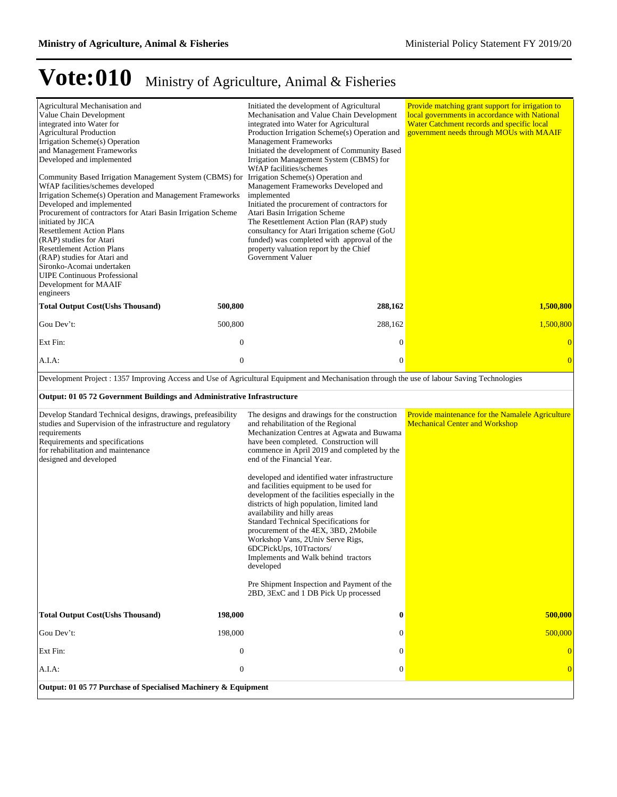| Agricultural Mechanisation and<br>Value Chain Development<br>integrated into Water for<br><b>Agricultural Production</b><br>Irrigation Scheme(s) Operation<br>and Management Frameworks<br>Developed and implemented<br>Community Based Irrigation Management System (CBMS) for Irrigation Scheme(s) Operation and<br>WfAP facilities/schemes developed<br>Irrigation Scheme(s) Operation and Management Frameworks<br>Developed and implemented<br>Procurement of contractors for Atari Basin Irrigation Scheme<br>initiated by JICA<br><b>Resettlement Action Plans</b><br>(RAP) studies for Atari<br><b>Resettlement Action Plans</b><br>(RAP) studies for Atari and<br>Sironko-Acomai undertaken<br><b>UIPE Continuous Professional</b><br>Development for MAAIF<br>engineers |                                  | Initiated the development of Agricultural<br>Mechanisation and Value Chain Development<br>integrated into Water for Agricultural<br>Production Irrigation Scheme(s) Operation and<br><b>Management Frameworks</b><br>Initiated the development of Community Based<br>Irrigation Management System (CBMS) for<br>WfAP facilities/schemes<br>Management Frameworks Developed and<br>implemented<br>Initiated the procurement of contractors for<br>Atari Basin Irrigation Scheme<br>The Resettlement Action Plan (RAP) study<br>consultancy for Atari Irrigation scheme (GoU<br>funded) was completed with approval of the<br>property valuation report by the Chief<br>Government Valuer                                        | Provide matching grant support for irrigation to<br>local governments in accordance with National<br><b>Water Catchment records and specific local</b><br>government needs through MOUs with MAAIF |
|-----------------------------------------------------------------------------------------------------------------------------------------------------------------------------------------------------------------------------------------------------------------------------------------------------------------------------------------------------------------------------------------------------------------------------------------------------------------------------------------------------------------------------------------------------------------------------------------------------------------------------------------------------------------------------------------------------------------------------------------------------------------------------------|----------------------------------|--------------------------------------------------------------------------------------------------------------------------------------------------------------------------------------------------------------------------------------------------------------------------------------------------------------------------------------------------------------------------------------------------------------------------------------------------------------------------------------------------------------------------------------------------------------------------------------------------------------------------------------------------------------------------------------------------------------------------------|----------------------------------------------------------------------------------------------------------------------------------------------------------------------------------------------------|
| <b>Total Output Cost(Ushs Thousand)</b>                                                                                                                                                                                                                                                                                                                                                                                                                                                                                                                                                                                                                                                                                                                                           | 500,800                          | 288,162                                                                                                                                                                                                                                                                                                                                                                                                                                                                                                                                                                                                                                                                                                                        | 1,500,800                                                                                                                                                                                          |
| Gou Dev't:                                                                                                                                                                                                                                                                                                                                                                                                                                                                                                                                                                                                                                                                                                                                                                        | 500,800                          | 288,162                                                                                                                                                                                                                                                                                                                                                                                                                                                                                                                                                                                                                                                                                                                        | 1,500,800                                                                                                                                                                                          |
| Ext Fin:<br>A.I.A:                                                                                                                                                                                                                                                                                                                                                                                                                                                                                                                                                                                                                                                                                                                                                                | $\mathbf{0}$<br>$\boldsymbol{0}$ | $\mathbf{0}$<br>$\mathbf{0}$                                                                                                                                                                                                                                                                                                                                                                                                                                                                                                                                                                                                                                                                                                   | $\overline{0}$<br>$\overline{0}$                                                                                                                                                                   |
|                                                                                                                                                                                                                                                                                                                                                                                                                                                                                                                                                                                                                                                                                                                                                                                   |                                  | Development Project : 1357 Improving Access and Use of Agricultural Equipment and Mechanisation through the use of labour Saving Technologies                                                                                                                                                                                                                                                                                                                                                                                                                                                                                                                                                                                  |                                                                                                                                                                                                    |
| Output: 01 05 72 Government Buildings and Administrative Infrastructure                                                                                                                                                                                                                                                                                                                                                                                                                                                                                                                                                                                                                                                                                                           |                                  |                                                                                                                                                                                                                                                                                                                                                                                                                                                                                                                                                                                                                                                                                                                                |                                                                                                                                                                                                    |
| Develop Standard Technical designs, drawings, prefeasibility                                                                                                                                                                                                                                                                                                                                                                                                                                                                                                                                                                                                                                                                                                                      |                                  | The designs and drawings for the construction                                                                                                                                                                                                                                                                                                                                                                                                                                                                                                                                                                                                                                                                                  | <b>Provide maintenance for the Namalele Agriculture</b>                                                                                                                                            |
| studies and Supervision of the infrastructure and regulatory<br>requirements<br>Requirements and specifications<br>for rehabilitation and maintenance<br>designed and developed                                                                                                                                                                                                                                                                                                                                                                                                                                                                                                                                                                                                   |                                  | and rehabilitation of the Regional<br>Mechanization Centres at Agwata and Buwama<br>have been completed. Construction will<br>commence in April 2019 and completed by the<br>end of the Financial Year.<br>developed and identified water infrastructure<br>and facilities equipment to be used for<br>development of the facilities especially in the<br>districts of high population, limited land<br>availability and hilly areas<br>Standard Technical Specifications for<br>procurement of the 4EX, 3BD, 2Mobile<br>Workshop Vans, 2Univ Serve Rigs,<br>6DCPickUps, 10Tractors/<br>Implements and Walk behind tractors<br>developed<br>Pre Shipment Inspection and Payment of the<br>2BD, 3ExC and 1 DB Pick Up processed | <b>Mechanical Center and Workshop</b>                                                                                                                                                              |
| <b>Total Output Cost(Ushs Thousand)</b>                                                                                                                                                                                                                                                                                                                                                                                                                                                                                                                                                                                                                                                                                                                                           | 198,000                          | $\bf{0}$                                                                                                                                                                                                                                                                                                                                                                                                                                                                                                                                                                                                                                                                                                                       | 500,000                                                                                                                                                                                            |
| Gou Dev't:                                                                                                                                                                                                                                                                                                                                                                                                                                                                                                                                                                                                                                                                                                                                                                        | 198,000                          | $\theta$                                                                                                                                                                                                                                                                                                                                                                                                                                                                                                                                                                                                                                                                                                                       | 500,000                                                                                                                                                                                            |
| Ext Fin:                                                                                                                                                                                                                                                                                                                                                                                                                                                                                                                                                                                                                                                                                                                                                                          | $\boldsymbol{0}$                 | $\theta$                                                                                                                                                                                                                                                                                                                                                                                                                                                                                                                                                                                                                                                                                                                       | $\overline{0}$                                                                                                                                                                                     |
| A.I.A:                                                                                                                                                                                                                                                                                                                                                                                                                                                                                                                                                                                                                                                                                                                                                                            | $\boldsymbol{0}$                 | $\boldsymbol{0}$                                                                                                                                                                                                                                                                                                                                                                                                                                                                                                                                                                                                                                                                                                               | $\overline{0}$                                                                                                                                                                                     |
| Output: 01 05 77 Purchase of Specialised Machinery & Equipment                                                                                                                                                                                                                                                                                                                                                                                                                                                                                                                                                                                                                                                                                                                    |                                  |                                                                                                                                                                                                                                                                                                                                                                                                                                                                                                                                                                                                                                                                                                                                |                                                                                                                                                                                                    |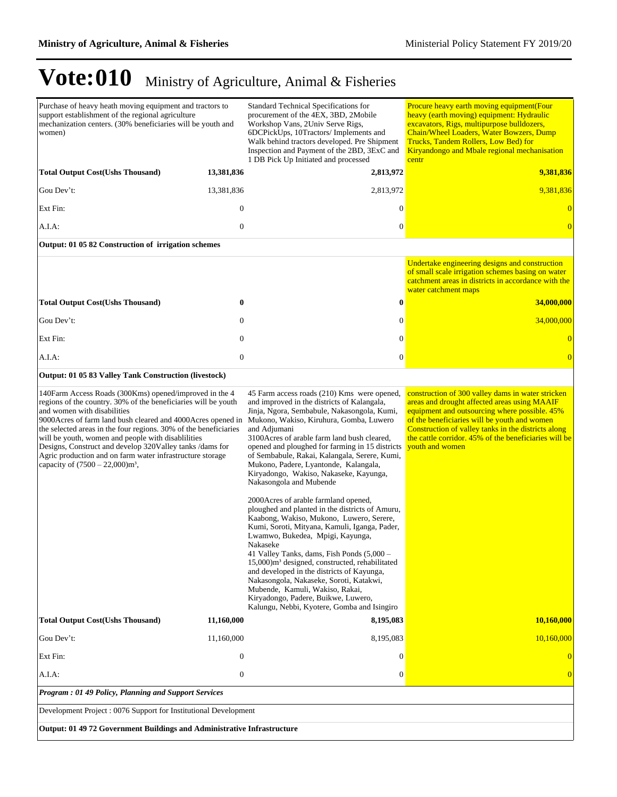Purchase of heavy heath moving equipment and tractors to support establishment of the regional agriculture mechanization centers. (30% beneficiaries will be youth and women) Standard Technical Specifications for procurement of the 4EX, 3BD, 2Mobile Workshop Vans, 2Univ Serve Rigs, 6DCPickUps, 10Tractors/ Implements and Walk behind tractors developed. Pre Shipment Inspection and Payment of the 2BD, 3ExC and 1 DB Pick Up Initiated and processed Procure heavy earth moving equipment(Four heavy (earth moving) equipment: Hydraulic excavators, Rigs, multipurpose bulldozers, Chain/Wheel Loaders, Water Bowzers, Dump Trucks, Tandem Rollers, Low Bed) for Kiryandongo and Mbale regional mechanisation centr **Total Output Cost(Ushs Thousand) 13,381,836 2,813,972 9,381,836** Gou Dev¶t: 13,381,836 2,813,972 9,381,836 Ext Fin: 0 0 0 A.I.A: 0 0 0 **Output: 01 05 82 Construction of irrigation schemes** Undertake engineering designs and construction of small scale irrigation schemes basing on water catchment areas in districts in accordance with the water catchment maps **Total Output Cost(Ushs Thousand) 0 0 34,000,000** Gou Dev¶t: 0 0 34,000,000 Ext Fin: 0 0 0 A.I.A: 0 0 0 **Output: 01 05 83 Valley Tank Construction (livestock)** 140Farm Access Roads (300Kms) opened/improved in the 4 regions of the country. 30% of the beneficiaries will be youth and women with disabilities 9000Acres of farm land bush cleared and 4000Acres opened in the selected areas in the four regions. 30% of the beneficiaries will be youth, women and people with disablilities Designs, Construct and develop 320Valley tanks /dams for Agric production and on farm water infrastructure storage capacity of  $(7500 - 22,000)$ m<sup>3</sup>, 45 Farm access roads (210) Kms were opened, and improved in the districts of Kalangala, Jinja, Ngora, Sembabule, Nakasongola, Kumi, Mukono, Wakiso, Kiruhura, Gomba, Luwero and Adjumani 3100Acres of arable farm land bush cleared, opened and ploughed for farming in 15 districts of Sembabule, Rakai, Kalangala, Serere, Kumi, Mukono, Padere, Lyantonde, Kalangala, Kiryadongo, Wakiso, Nakaseke, Kayunga, Nakasongola and Mubende 2000Acres of arable farmland opened, ploughed and planted in the districts of Amuru, Kaabong, Wakiso, Mukono, Luwero, Serere, Kumi, Soroti, Mityana, Kamuli, Iganga, Pader, Lwamwo, Bukedea, Mpigi, Kayunga, Nakaseke 41 Valley Tanks, dams, Fish Ponds (5,000± 15,000)m<sup>3</sup> designed, constructed, rehabilitated and developed in the districts of Kayunga, Nakasongola, Nakaseke, Soroti, Katakwi, Mubende, Kamuli, Wakiso, Rakai, Kiryadongo, Padere, Buikwe, Luwero, Kalungu, Nebbi, Kyotere, Gomba and Isingiro construction of 300 valley dams in water stricken areas and drought affected areas using MAAIF equipment and outsourcing where possible. 45% of the beneficiaries will be youth and women Construction of valley tanks in the districts along the cattle corridor. 45% of the beneficiaries will be youth and women **Total Output Cost(Ushs Thousand) 11,160,000 8,195,083 10,160,000** Gou Dev't: 11,160,000 10,160,000 10,160,000 100,160,000 10,160,000 10,160,000 10,160,000 10,160,000 10,160,000 Ext Fin: 0 0 0 A.I.A: 0 0 0 *Program : 01 49 Policy, Planning and Support Services* Development Project : 0076 Support for Institutional Development

**Output: 01 49 72 Government Buildings and Administrative Infrastructure**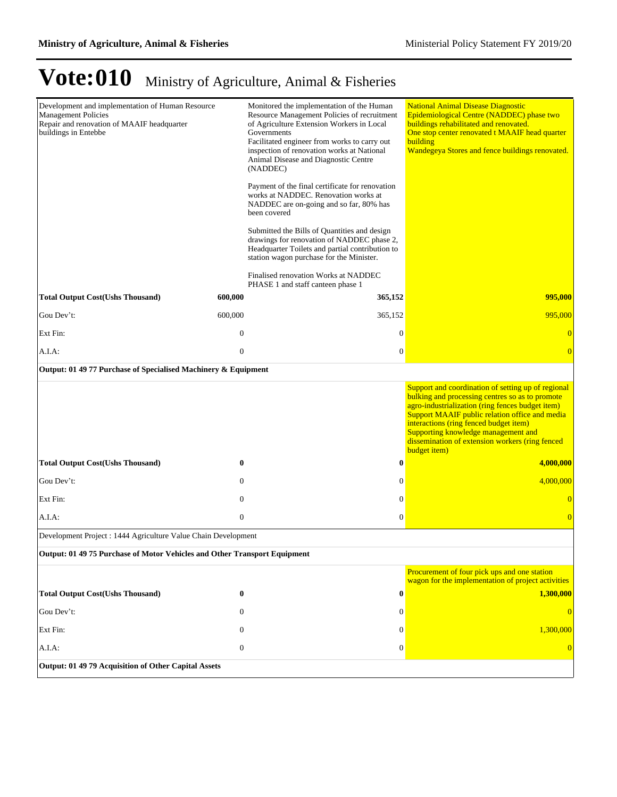| Development and implementation of Human Resource<br><b>Management Policies</b><br>Repair and renovation of MAAIF headquarter<br>buildings in Entebbe |                  | Monitored the implementation of the Human<br>Resource Management Policies of recruitment<br>of Agriculture Extension Workers in Local<br>Governments<br>Facilitated engineer from works to carry out<br>inspection of renovation works at National<br>Animal Disease and Diagnostic Centre<br>(NADDEC)<br>Payment of the final certificate for renovation<br>works at NADDEC. Renovation works at<br>NADDEC are on-going and so far, 80% has<br>been covered | <b>National Animal Disease Diagnostic</b><br>Epidemiological Centre (NADDEC) phase two<br>buildings rehabilitated and renovated.<br>One stop center renovated t MAAIF head quarter<br>building<br>Wandegeya Stores and fence buildings renovated.                                                                                                               |
|------------------------------------------------------------------------------------------------------------------------------------------------------|------------------|--------------------------------------------------------------------------------------------------------------------------------------------------------------------------------------------------------------------------------------------------------------------------------------------------------------------------------------------------------------------------------------------------------------------------------------------------------------|-----------------------------------------------------------------------------------------------------------------------------------------------------------------------------------------------------------------------------------------------------------------------------------------------------------------------------------------------------------------|
|                                                                                                                                                      |                  | Submitted the Bills of Quantities and design<br>drawings for renovation of NADDEC phase 2,<br>Headquarter Toilets and partial contribution to<br>station wagon purchase for the Minister.                                                                                                                                                                                                                                                                    |                                                                                                                                                                                                                                                                                                                                                                 |
|                                                                                                                                                      |                  | Finalised renovation Works at NADDEC<br>PHASE 1 and staff canteen phase 1                                                                                                                                                                                                                                                                                                                                                                                    |                                                                                                                                                                                                                                                                                                                                                                 |
| <b>Total Output Cost(Ushs Thousand)</b>                                                                                                              | 600,000          | 365,152                                                                                                                                                                                                                                                                                                                                                                                                                                                      | 995,000                                                                                                                                                                                                                                                                                                                                                         |
| Gou Dev't:                                                                                                                                           | 600,000          | 365,152                                                                                                                                                                                                                                                                                                                                                                                                                                                      | 995,000                                                                                                                                                                                                                                                                                                                                                         |
| Ext Fin:                                                                                                                                             | $\boldsymbol{0}$ | $\mathbf{0}$                                                                                                                                                                                                                                                                                                                                                                                                                                                 | $\overline{0}$                                                                                                                                                                                                                                                                                                                                                  |
| A.I.A:                                                                                                                                               | $\boldsymbol{0}$ | $\boldsymbol{0}$                                                                                                                                                                                                                                                                                                                                                                                                                                             | $\overline{0}$                                                                                                                                                                                                                                                                                                                                                  |
| Output: 01 49 77 Purchase of Specialised Machinery & Equipment                                                                                       |                  |                                                                                                                                                                                                                                                                                                                                                                                                                                                              |                                                                                                                                                                                                                                                                                                                                                                 |
|                                                                                                                                                      |                  |                                                                                                                                                                                                                                                                                                                                                                                                                                                              | Support and coordination of setting up of regional<br>bulking and processing centres so as to promote<br>agro-industrialization (ring fences budget item)<br>Support MAAIF public relation office and media<br>interactions (ring fenced budget item)<br>Supporting knowledge management and<br>dissemination of extension workers (ring fenced<br>budget item) |
| <b>Total Output Cost(Ushs Thousand)</b>                                                                                                              | $\bf{0}$         | $\boldsymbol{0}$                                                                                                                                                                                                                                                                                                                                                                                                                                             | 4,000,000                                                                                                                                                                                                                                                                                                                                                       |
| Gou Dev't:                                                                                                                                           | $\mathbf{0}$     | $\boldsymbol{0}$                                                                                                                                                                                                                                                                                                                                                                                                                                             | 4,000,000                                                                                                                                                                                                                                                                                                                                                       |
| Ext Fin:                                                                                                                                             | $\mathbf{0}$     | $\mathbf{0}$                                                                                                                                                                                                                                                                                                                                                                                                                                                 |                                                                                                                                                                                                                                                                                                                                                                 |
| A.I.A.                                                                                                                                               | $\mathbf{0}$     | $\mathbf{0}$                                                                                                                                                                                                                                                                                                                                                                                                                                                 | $\overline{0}$                                                                                                                                                                                                                                                                                                                                                  |
| Development Project : 1444 Agriculture Value Chain Development                                                                                       |                  |                                                                                                                                                                                                                                                                                                                                                                                                                                                              |                                                                                                                                                                                                                                                                                                                                                                 |
| Output: 01 49 75 Purchase of Motor Vehicles and Other Transport Equipment                                                                            |                  |                                                                                                                                                                                                                                                                                                                                                                                                                                                              |                                                                                                                                                                                                                                                                                                                                                                 |
|                                                                                                                                                      |                  |                                                                                                                                                                                                                                                                                                                                                                                                                                                              | Procurement of four pick ups and one station<br>wagon for the implementation of project activities                                                                                                                                                                                                                                                              |
| <b>Total Output Cost(Ushs Thousand)</b>                                                                                                              | $\bf{0}$         | $\boldsymbol{0}$                                                                                                                                                                                                                                                                                                                                                                                                                                             | 1,300,000                                                                                                                                                                                                                                                                                                                                                       |
| Gou Dev't:                                                                                                                                           | $\boldsymbol{0}$ | $\mathbf{0}$                                                                                                                                                                                                                                                                                                                                                                                                                                                 | $\overline{0}$                                                                                                                                                                                                                                                                                                                                                  |
| Ext Fin:                                                                                                                                             | $\theta$         | $\theta$                                                                                                                                                                                                                                                                                                                                                                                                                                                     | 1,300,000                                                                                                                                                                                                                                                                                                                                                       |
| A.I.A:                                                                                                                                               | $\mathbf{0}$     | $\boldsymbol{0}$                                                                                                                                                                                                                                                                                                                                                                                                                                             | $\overline{0}$                                                                                                                                                                                                                                                                                                                                                  |
| Output: 01 49 79 Acquisition of Other Capital Assets                                                                                                 |                  |                                                                                                                                                                                                                                                                                                                                                                                                                                                              |                                                                                                                                                                                                                                                                                                                                                                 |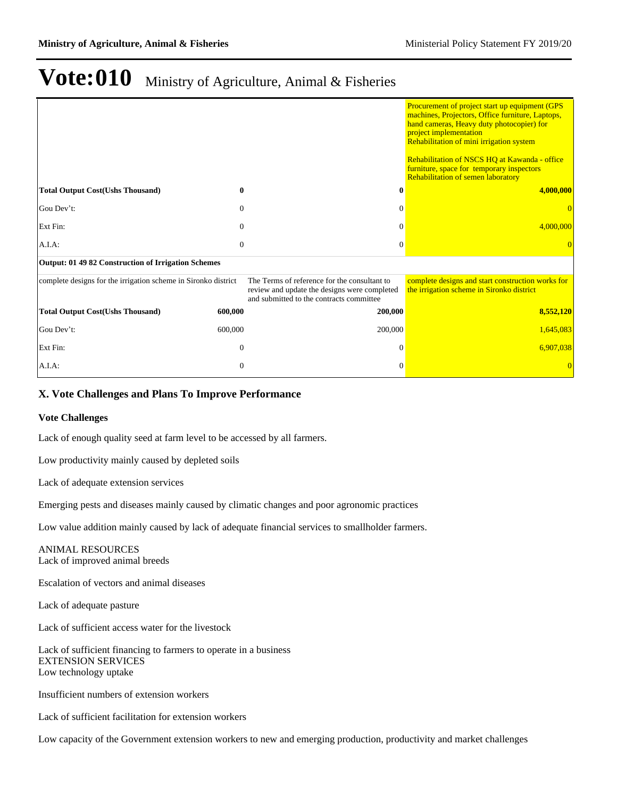|                                                                |              |                                                                                                                                          | Procurement of project start up equipment (GPS<br>machines, Projectors, Office furniture, Laptops,<br>hand cameras, Heavy duty photocopier) for<br>project implementation<br>Rehabilitation of mini irrigation system<br>Rehabilitation of NSCS HQ at Kawanda - office<br>furniture, space for temporary inspectors<br>Rehabilitation of semen laboratory |
|----------------------------------------------------------------|--------------|------------------------------------------------------------------------------------------------------------------------------------------|-----------------------------------------------------------------------------------------------------------------------------------------------------------------------------------------------------------------------------------------------------------------------------------------------------------------------------------------------------------|
| <b>Total Output Cost(Ushs Thousand)</b>                        | 0            | 0                                                                                                                                        | 4,000,000                                                                                                                                                                                                                                                                                                                                                 |
| Gou Dev't:                                                     | $\theta$     | $\Omega$                                                                                                                                 |                                                                                                                                                                                                                                                                                                                                                           |
| Ext Fin:                                                       | $\theta$     | 0                                                                                                                                        | 4,000,000                                                                                                                                                                                                                                                                                                                                                 |
| A.I.A.                                                         | $\theta$     | $\Omega$                                                                                                                                 |                                                                                                                                                                                                                                                                                                                                                           |
| Output: 01 49 82 Construction of Irrigation Schemes            |              |                                                                                                                                          |                                                                                                                                                                                                                                                                                                                                                           |
| complete designs for the irrigation scheme in Sironko district |              | The Terms of reference for the consultant to<br>review and update the designs were completed<br>and submitted to the contracts committee | complete designs and start construction works for<br>the irrigation scheme in Sironko district                                                                                                                                                                                                                                                            |
| <b>Total Output Cost(Ushs Thousand)</b>                        | 600,000      | 200,000                                                                                                                                  | 8,552,120                                                                                                                                                                                                                                                                                                                                                 |
| Gou Dev't:                                                     | 600,000      | 200,000                                                                                                                                  | 1,645,083                                                                                                                                                                                                                                                                                                                                                 |
| Ext Fin:                                                       | $\Omega$     | $\theta$                                                                                                                                 | 6,907,038                                                                                                                                                                                                                                                                                                                                                 |
| A.I.A.                                                         | $\mathbf{0}$ | 0                                                                                                                                        |                                                                                                                                                                                                                                                                                                                                                           |

### **X. Vote Challenges and Plans To Improve Performance**

### **Vote Challenges**

Lack of enough quality seed at farm level to be accessed by all farmers.

Low productivity mainly caused by depleted soils

Lack of adequate extension services

Emerging pests and diseases mainly caused by climatic changes and poor agronomic practices

Low value addition mainly caused by lack of adequate financial services to smallholder farmers.

ANIMAL RESOURCES Lack of improved animal breeds

Escalation of vectors and animal diseases

Lack of adequate pasture

Lack of sufficient access water for the livestock

Lack of sufficient financing to farmers to operate in a business EXTENSION SERVICES Low technology uptake

Insufficient numbers of extension workers

Lack of sufficient facilitation for extension workers

Low capacity of the Government extension workers to new and emerging production, productivity and market challenges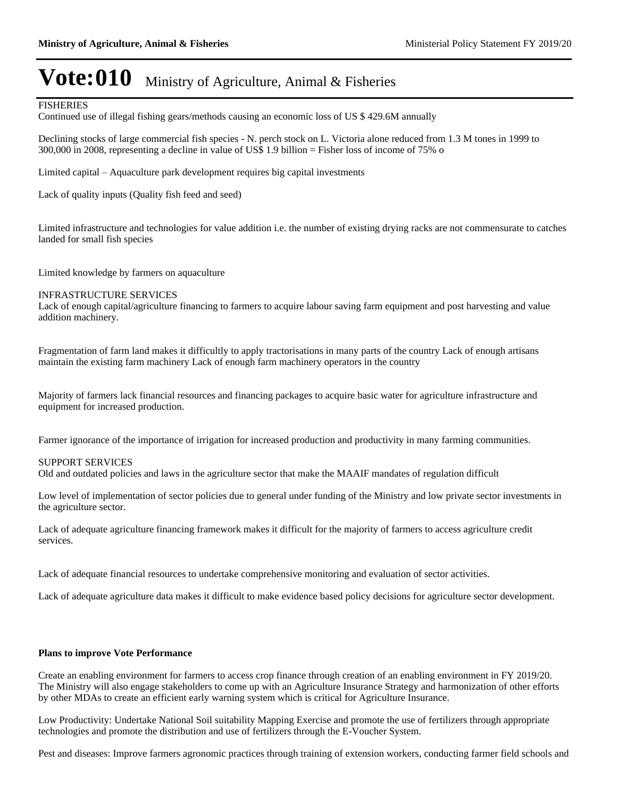### FISHERIES

Continued use of illegal fishing gears/methods causing an economic loss of US \$ 429.6M annually

Declining stocks of large commercial fish species - N. perch stock on L. Victoria alone reduced from 1.3 M tones in 1999 to 300,000 in 2008, representing a decline in value of US\$ 1.9 billion = Fisher loss of income of 75% o

Limited capital – Aquaculture park development requires big capital investments

Lack of quality inputs (Quality fish feed and seed)

Limited infrastructure and technologies for value addition i.e. the number of existing drying racks are not commensurate to catches landed for small fish species

Limited knowledge by farmers on aquaculture

#### INFRASTRUCTURE SERVICES

Lack of enough capital/agriculture financing to farmers to acquire labour saving farm equipment and post harvesting and value addition machinery.

Fragmentation of farm land makes it difficultly to apply tractorisations in many parts of the country Lack of enough artisans maintain the existing farm machinery Lack of enough farm machinery operators in the country

Majority of farmers lack financial resources and financing packages to acquire basic water for agriculture infrastructure and equipment for increased production.

Farmer ignorance of the importance of irrigation for increased production and productivity in many farming communities.

### SUPPORT SERVICES

Old and outdated policies and laws in the agriculture sector that make the MAAIF mandates of regulation difficult

Low level of implementation of sector policies due to general under funding of the Ministry and low private sector investments in the agriculture sector.

Lack of adequate agriculture financing framework makes it difficult for the majority of farmers to access agriculture credit services.

Lack of adequate financial resources to undertake comprehensive monitoring and evaluation of sector activities.

Lack of adequate agriculture data makes it difficult to make evidence based policy decisions for agriculture sector development.

#### **Plans to improve Vote Performance**

Create an enabling environment for farmers to access crop finance through creation of an enabling environment in FY 2019/20. The Ministry will also engage stakeholders to come up with an Agriculture Insurance Strategy and harmonization of other efforts by other MDAs to create an efficient early warning system which is critical for Agriculture Insurance.

Low Productivity: Undertake National Soil suitability Mapping Exercise and promote the use of fertilizers through appropriate technologies and promote the distribution and use of fertilizers through the E-Voucher System.

Pest and diseases: Improve farmers agronomic practices through training of extension workers, conducting farmer field schools and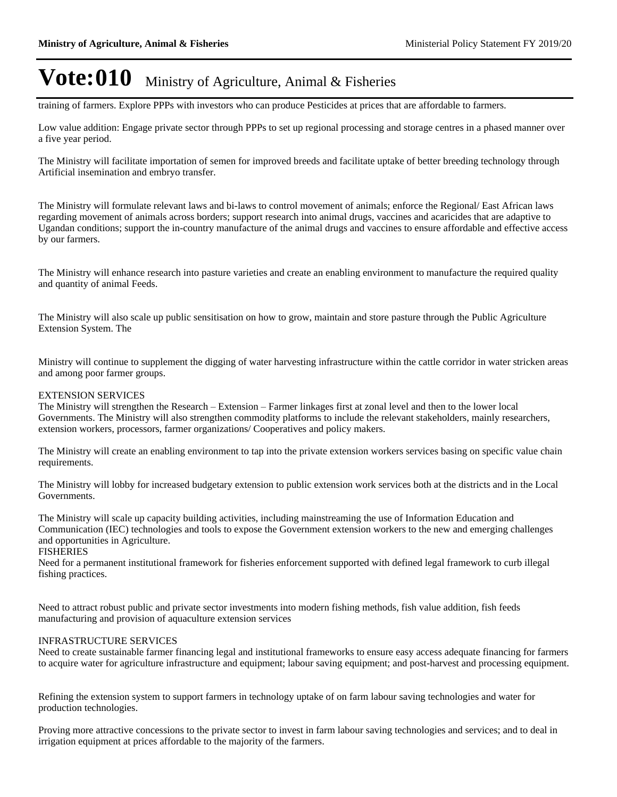training of farmers. Explore PPPs with investors who can produce Pesticides at prices that are affordable to farmers.

Low value addition: Engage private sector through PPPs to set up regional processing and storage centres in a phased manner over a five year period.

The Ministry will facilitate importation of semen for improved breeds and facilitate uptake of better breeding technology through Artificial insemination and embryo transfer.

The Ministry will formulate relevant laws and bi-laws to control movement of animals; enforce the Regional/ East African laws regarding movement of animals across borders; support research into animal drugs, vaccines and acaricides that are adaptive to Ugandan conditions; support the in-country manufacture of the animal drugs and vaccines to ensure affordable and effective access by our farmers.

The Ministry will enhance research into pasture varieties and create an enabling environment to manufacture the required quality and quantity of animal Feeds.

The Ministry will also scale up public sensitisation on how to grow, maintain and store pasture through the Public Agriculture Extension System. The

Ministry will continue to supplement the digging of water harvesting infrastructure within the cattle corridor in water stricken areas and among poor farmer groups.

#### EXTENSION SERVICES

The Ministry will strengthen the Research – Extension – Farmer linkages first at zonal level and then to the lower local Governments. The Ministry will also strengthen commodity platforms to include the relevant stakeholders, mainly researchers, extension workers, processors, farmer organizations/ Cooperatives and policy makers.

The Ministry will create an enabling environment to tap into the private extension workers services basing on specific value chain requirements.

The Ministry will lobby for increased budgetary extension to public extension work services both at the districts and in the Local Governments.

The Ministry will scale up capacity building activities, including mainstreaming the use of Information Education and Communication (IEC) technologies and tools to expose the Government extension workers to the new and emerging challenges and opportunities in Agriculture.

#### FISHERIES

Need for a permanent institutional framework for fisheries enforcement supported with defined legal framework to curb illegal fishing practices.

Need to attract robust public and private sector investments into modern fishing methods, fish value addition, fish feeds manufacturing and provision of aquaculture extension services

#### INFRASTRUCTURE SERVICES

Need to create sustainable farmer financing legal and institutional frameworks to ensure easy access adequate financing for farmers to acquire water for agriculture infrastructure and equipment; labour saving equipment; and post-harvest and processing equipment.

Refining the extension system to support farmers in technology uptake of on farm labour saving technologies and water for production technologies.

Proving more attractive concessions to the private sector to invest in farm labour saving technologies and services; and to deal in irrigation equipment at prices affordable to the majority of the farmers.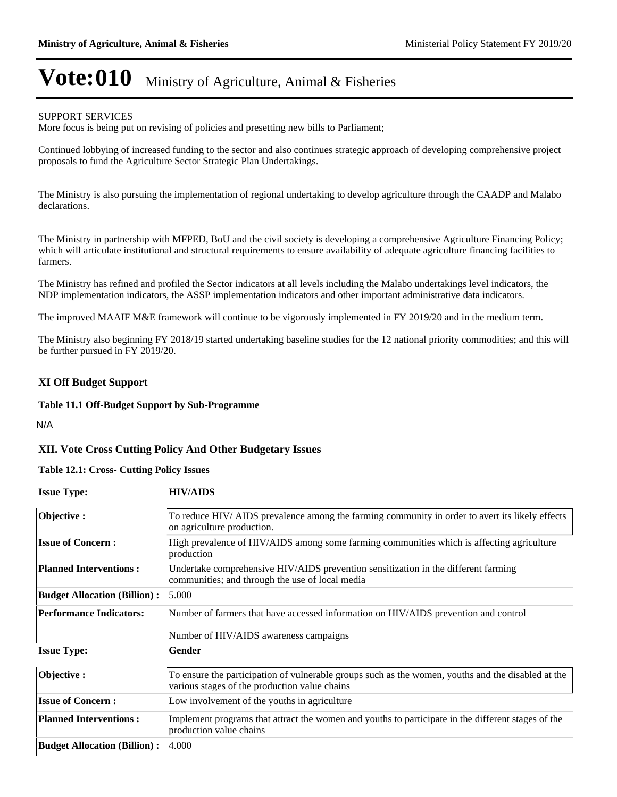### SUPPORT SERVICES

More focus is being put on revising of policies and presetting new bills to Parliament;

Continued lobbying of increased funding to the sector and also continues strategic approach of developing comprehensive project proposals to fund the Agriculture Sector Strategic Plan Undertakings.

The Ministry is also pursuing the implementation of regional undertaking to develop agriculture through the CAADP and Malabo declarations.

The Ministry in partnership with MFPED, BoU and the civil society is developing a comprehensive Agriculture Financing Policy; which will articulate institutional and structural requirements to ensure availability of adequate agriculture financing facilities to farmers.

The Ministry has refined and profiled the Sector indicators at all levels including the Malabo undertakings level indicators, the NDP implementation indicators, the ASSP implementation indicators and other important administrative data indicators.

The improved MAAIF M&E framework will continue to be vigorously implemented in FY 2019/20 and in the medium term.

The Ministry also beginning FY 2018/19 started undertaking baseline studies for the 12 national priority commodities; and this will be further pursued in FY 2019/20.

### **XI Off Budget Support**

### **Table 11.1 Off-Budget Support by Sub-Programme**

N/A

### **XII. Vote Cross Cutting Policy And Other Budgetary Issues**

### **Table 12.1: Cross- Cutting Policy Issues**

**Issue Type: HIV/AIDS**

| $155\mu\text{C}$ , $19\mu\text{C}$  | шт <i>ер</i> о                                                                                                                                      |
|-------------------------------------|-----------------------------------------------------------------------------------------------------------------------------------------------------|
| Objective:                          | To reduce HIV/AIDS prevalence among the farming community in order to avert its likely effects<br>on agriculture production.                        |
| <b>Issue of Concern:</b>            | High prevalence of HIV/AIDS among some farming communities which is affecting agriculture<br>production                                             |
| <b>Planned Interventions:</b>       | Undertake comprehensive HIV/AIDS prevention sensitization in the different farming<br>communities; and through the use of local media               |
| <b>Budget Allocation (Billion):</b> | 5.000                                                                                                                                               |
| <b>Performance Indicators:</b>      | Number of farmers that have accessed information on HIV/AIDS prevention and control                                                                 |
|                                     | Number of HIV/AIDS awareness campaigns                                                                                                              |
| <b>Issue Type:</b>                  | Gender                                                                                                                                              |
| Objective:                          | To ensure the participation of vulnerable groups such as the women, youths and the disabled at the<br>various stages of the production value chains |
| <b>Issue of Concern:</b>            | Low involvement of the youths in agriculture                                                                                                        |
| <b>Planned Interventions:</b>       | Implement programs that attract the women and youths to participate in the different stages of the<br>production value chains                       |
| <b>Budget Allocation (Billion):</b> | 4.000                                                                                                                                               |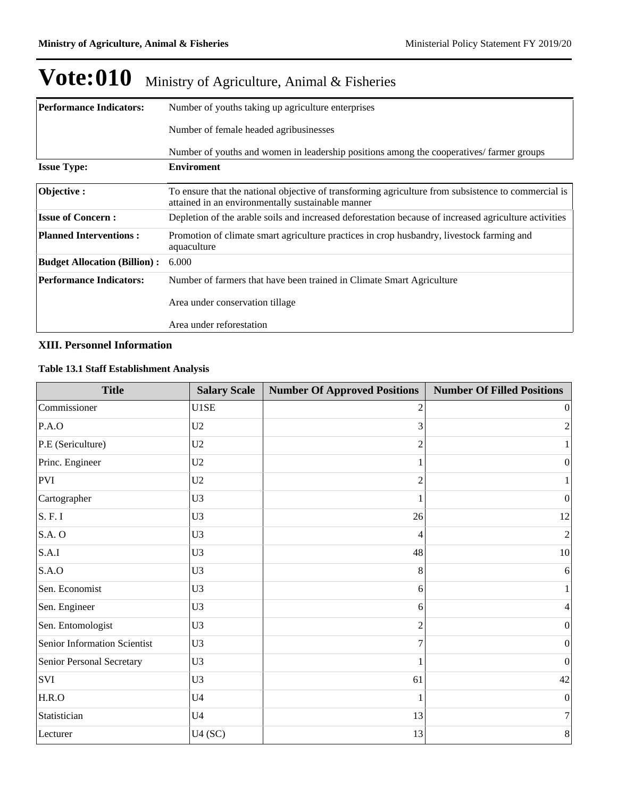| <b>Performance Indicators:</b>      | Number of youths taking up agriculture enterprises                                                                                                       |  |  |  |  |
|-------------------------------------|----------------------------------------------------------------------------------------------------------------------------------------------------------|--|--|--|--|
|                                     | Number of female headed agribusinesses                                                                                                                   |  |  |  |  |
|                                     | Number of youths and women in leadership positions among the cooperatives/ farmer groups                                                                 |  |  |  |  |
| <b>Issue Type:</b>                  | <b>Enviroment</b>                                                                                                                                        |  |  |  |  |
| Objective:                          | To ensure that the national objective of transforming agriculture from subsistence to commercial is<br>attained in an environmentally sustainable manner |  |  |  |  |
| <b>Issue of Concern:</b>            | Depletion of the arable soils and increased deforestation because of increased agriculture activities                                                    |  |  |  |  |
| <b>Planned Interventions:</b>       | Promotion of climate smart agriculture practices in crop husbandry, livestock farming and<br>aquaculture                                                 |  |  |  |  |
| <b>Budget Allocation (Billion):</b> | 6.000                                                                                                                                                    |  |  |  |  |
| <b>Performance Indicators:</b>      | Number of farmers that have been trained in Climate Smart Agriculture                                                                                    |  |  |  |  |
|                                     | Area under conservation tillage                                                                                                                          |  |  |  |  |
|                                     | Area under reforestation                                                                                                                                 |  |  |  |  |

### **XIII. Personnel Information**

### **Table 13.1 Staff Establishment Analysis**

| <b>Title</b>                 | <b>Salary Scale</b> | <b>Number Of Approved Positions</b> | <b>Number Of Filled Positions</b> |
|------------------------------|---------------------|-------------------------------------|-----------------------------------|
| Commissioner                 | U1SE                | 2                                   | 0                                 |
| P.A.O                        | U <sub>2</sub>      | 3                                   | $\overline{c}$                    |
| P.E (Sericulture)            | U <sub>2</sub>      | $\overline{2}$                      | $\mathbf{1}$                      |
| Princ. Engineer              | U2                  |                                     | 0                                 |
| <b>PVI</b>                   | U2                  | $\overline{2}$                      |                                   |
| Cartographer                 | U <sub>3</sub>      |                                     | $\vert 0 \vert$                   |
| S. F. I                      | U <sub>3</sub>      | 26                                  | 12                                |
| <b>S.A. O</b>                | U <sub>3</sub>      | 4                                   | $\boldsymbol{2}$                  |
| S.A.I                        | U <sub>3</sub>      | 48                                  | 10                                |
| S.A.O                        | U <sub>3</sub>      | 8                                   | 6                                 |
| Sen. Economist               | U <sub>3</sub>      | 6                                   | $\mathbf{1}$                      |
| Sen. Engineer                | U <sub>3</sub>      | 6                                   | 4                                 |
| Sen. Entomologist            | U <sub>3</sub>      | $\overline{c}$                      | $\boldsymbol{0}$                  |
| Senior Information Scientist | U <sub>3</sub>      | 7                                   | 0                                 |
| Senior Personal Secretary    | U3                  | 1                                   | $\vert 0 \vert$                   |
| SVI                          | U <sub>3</sub>      | 61                                  | $42\,$                            |
| H.R.O                        | U <sub>4</sub>      |                                     | $\boldsymbol{0}$                  |
| Statistician                 | U <sub>4</sub>      | 13                                  | 7                                 |
| Lecturer                     | U4(SC)              | 13                                  | $8\,$                             |